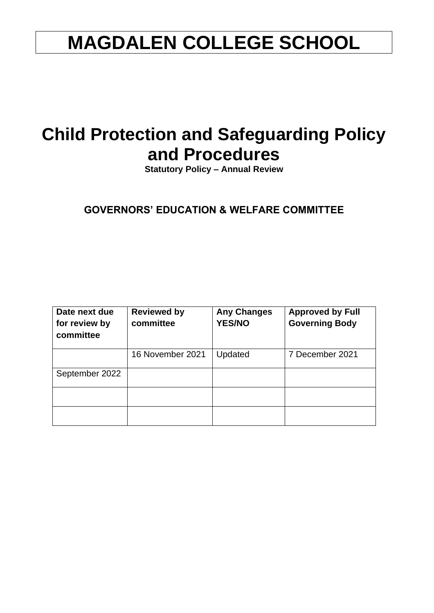# **MAGDALEN COLLEGE SCHOOL**

# **Child Protection and Safeguarding Policy and Procedures**

**Statutory Policy – Annual Review**

# **GOVERNORS' EDUCATION & WELFARE COMMITTEE**

| Date next due<br>for review by<br>committee | <b>Reviewed by</b><br>committee | <b>Any Changes</b><br><b>YES/NO</b> | <b>Approved by Full</b><br><b>Governing Body</b> |
|---------------------------------------------|---------------------------------|-------------------------------------|--------------------------------------------------|
|                                             | 16 November 2021                | Updated                             | 7 December 2021                                  |
| September 2022                              |                                 |                                     |                                                  |
|                                             |                                 |                                     |                                                  |
|                                             |                                 |                                     |                                                  |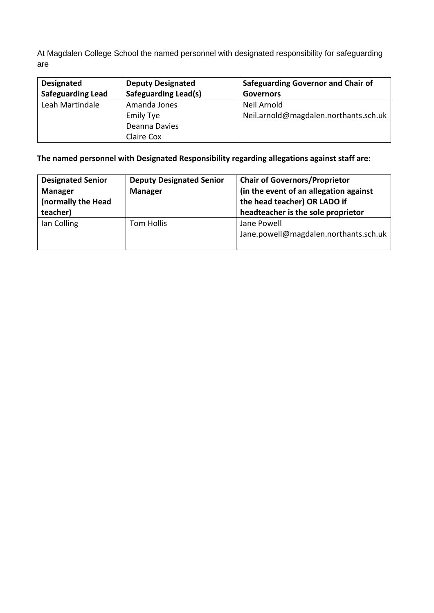At Magdalen College School the named personnel with designated responsibility for safeguarding are

| <b>Designated</b>        | <b>Deputy Designated</b> | <b>Safeguarding Governor and Chair of</b> |
|--------------------------|--------------------------|-------------------------------------------|
| <b>Safeguarding Lead</b> | Safeguarding Lead(s)     | <b>Governors</b>                          |
| Leah Martindale          | Amanda Jones             | Neil Arnold                               |
|                          | <b>Emily Tye</b>         | Neil.arnold@magdalen.northants.sch.uk     |
|                          | Deanna Davies            |                                           |
|                          | Claire Cox               |                                           |

# **The named personnel with Designated Responsibility regarding allegations against staff are:**

| <b>Designated Senior</b><br><b>Manager</b><br>(normally the Head<br>teacher) | <b>Deputy Designated Senior</b><br><b>Manager</b> | <b>Chair of Governors/Proprietor</b><br>(in the event of an allegation against<br>the head teacher) OR LADO if<br>headteacher is the sole proprietor |
|------------------------------------------------------------------------------|---------------------------------------------------|------------------------------------------------------------------------------------------------------------------------------------------------------|
| lan Colling                                                                  | <b>Tom Hollis</b>                                 | Jane Powell<br>Jane.powell@magdalen.northants.sch.uk                                                                                                 |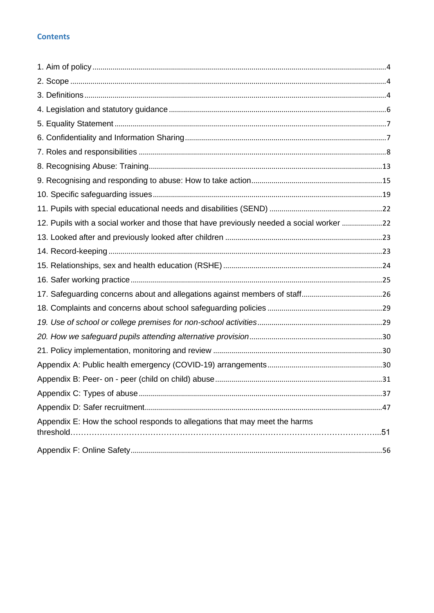#### **Contents**

| 12. Pupils with a social worker and those that have previously needed a social worker 22 |  |
|------------------------------------------------------------------------------------------|--|
|                                                                                          |  |
|                                                                                          |  |
|                                                                                          |  |
|                                                                                          |  |
|                                                                                          |  |
|                                                                                          |  |
|                                                                                          |  |
|                                                                                          |  |
|                                                                                          |  |
|                                                                                          |  |
|                                                                                          |  |
|                                                                                          |  |
|                                                                                          |  |
| Appendix E: How the school responds to allegations that may meet the harms               |  |
|                                                                                          |  |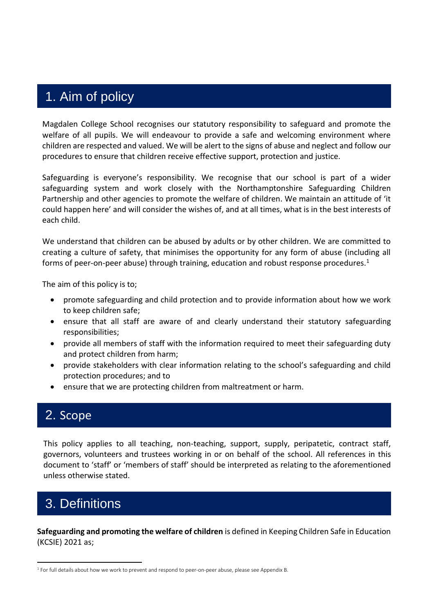# <span id="page-3-0"></span>1. Aim of policy

Magdalen College School recognises our statutory responsibility to safeguard and promote the welfare of all pupils. We will endeavour to provide a safe and welcoming environment where children are respected and valued. We will be alert to the signs of abuse and neglect and follow our procedures to ensure that children receive effective support, protection and justice.

Safeguarding is everyone's responsibility. We recognise that our school is part of a wider safeguarding system and work closely with the Northamptonshire Safeguarding Children Partnership and other agencies to promote the welfare of children. We maintain an attitude of 'it could happen here' and will consider the wishes of, and at all times, what is in the best interests of each child.

We understand that children can be abused by adults or by other children. We are committed to creating a culture of safety, that minimises the opportunity for any form of abuse (including all forms of peer-on-peer abuse) through training, education and robust response procedures. $1$ 

The aim of this policy is to;

- promote safeguarding and child protection and to provide information about how we work to keep children safe;
- ensure that all staff are aware of and clearly understand their statutory safeguarding responsibilities;
- provide all members of staff with the information required to meet their safeguarding duty and protect children from harm;
- provide stakeholders with clear information relating to the school's safeguarding and child protection procedures; and to
- ensure that we are protecting children from maltreatment or harm.

# <span id="page-3-1"></span>2. Scope

This policy applies to all teaching, non-teaching, support, supply, peripatetic, contract staff, governors, volunteers and trustees working in or on behalf of the school. All references in this document to 'staff' or 'members of staff' should be interpreted as relating to the aforementioned unless otherwise stated.

# <span id="page-3-2"></span>3. Definitions

**Safeguarding and promoting the welfare of children** is defined in Keeping Children Safe in Education (KCSIE) 2021 as;

<sup>&</sup>lt;sup>1</sup> For full details about how we work to prevent and respond to peer-on-peer abuse, please see Appendix B.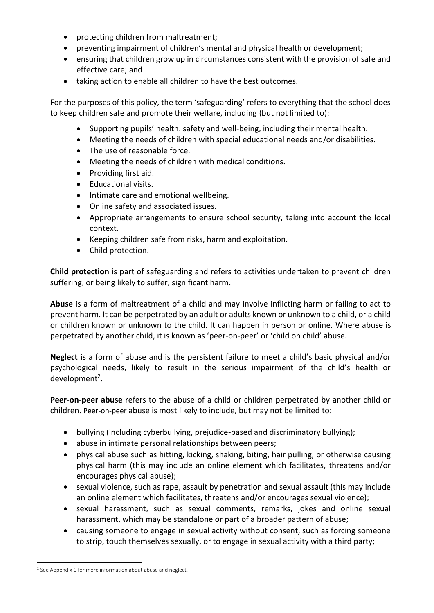- protecting children from maltreatment;
- preventing impairment of children's mental and physical health or development;
- ensuring that children grow up in circumstances consistent with the provision of safe and effective care; and
- taking action to enable all children to have the best outcomes.

For the purposes of this policy, the term 'safeguarding' refers to everything that the school does to keep children safe and promote their welfare, including (but not limited to):

- Supporting pupils' health. safety and well-being, including their mental health.
- Meeting the needs of children with special educational needs and/or disabilities.
- The use of reasonable force.
- Meeting the needs of children with medical conditions.
- Providing first aid.
- Educational visits.
- Intimate care and emotional wellbeing.
- Online safety and associated issues.
- Appropriate arrangements to ensure school security, taking into account the local context.
- Keeping children safe from risks, harm and exploitation.
- Child protection.

**Child protection** is part of safeguarding and refers to activities undertaken to prevent children suffering, or being likely to suffer, significant harm.

**Abuse** is a form of maltreatment of a child and may involve inflicting harm or failing to act to prevent harm. It can be perpetrated by an adult or adults known or unknown to a child, or a child or children known or unknown to the child. It can happen in person or online. Where abuse is perpetrated by another child, it is known as 'peer-on-peer' or 'child on child' abuse.

**Neglect** is a form of abuse and is the persistent failure to meet a child's basic physical and/or psychological needs, likely to result in the serious impairment of the child's health or development<sup>2</sup>.

**Peer-on-peer abuse** refers to the abuse of a child or children perpetrated by another child or children. Peer-on-peer abuse is most likely to include, but may not be limited to:

- bullying (including cyberbullying, prejudice-based and discriminatory bullying);
- abuse in intimate personal relationships between peers;
- physical abuse such as hitting, kicking, shaking, biting, hair pulling, or otherwise causing physical harm (this may include an online element which facilitates, threatens and/or encourages physical abuse);
- sexual violence, such as rape, assault by penetration and sexual assault (this may include an online element which facilitates, threatens and/or encourages sexual violence);
- sexual harassment, such as sexual comments, remarks, jokes and online sexual harassment, which may be standalone or part of a broader pattern of abuse;
- causing someone to engage in sexual activity without consent, such as forcing someone to strip, touch themselves sexually, or to engage in sexual activity with a third party;

<sup>&</sup>lt;sup>2</sup> See Appendix C for more information about abuse and neglect.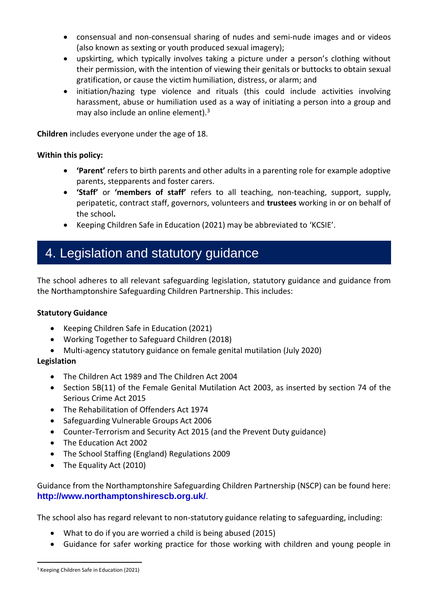- consensual and non-consensual sharing of nudes and semi-nude images and or videos (also known as sexting or youth produced sexual imagery);
- upskirting, which typically involves taking a picture under a person's clothing without their permission, with the intention of viewing their genitals or buttocks to obtain sexual gratification, or cause the victim humiliation, distress, or alarm; and
- initiation/hazing type violence and rituals (this could include activities involving harassment, abuse or humiliation used as a way of initiating a person into a group and may also include an online element). $3$

**Children** includes everyone under the age of 18.

#### **Within this policy:**

- **'Parent'** refers to birth parents and other adults in a parenting role for example adoptive parents, stepparents and foster carers.
- **'Staff'** or **'members of staff'** refers to all teaching, non-teaching, support, supply, peripatetic, contract staff, governors, volunteers and **trustees** working in or on behalf of the school**.**
- Keeping Children Safe in Education (2021) may be abbreviated to 'KCSIE'.

# <span id="page-5-0"></span>4. Legislation and statutory guidance

The school adheres to all relevant safeguarding legislation, statutory guidance and guidance from the Northamptonshire Safeguarding Children Partnership. This includes:

#### **Statutory Guidance**

- Keeping Children Safe in Education (2021)
- Working Together to Safeguard Children (2018)
- Multi-agency statutory guidance on female genital mutilation (July 2020)

#### **Legislation**

- The Children Act 1989 and The Children Act 2004
- Section 5B(11) of the Female Genital Mutilation Act 2003, as inserted by section 74 of the Serious Crime Act 2015
- The Rehabilitation of Offenders Act 1974
- Safeguarding Vulnerable Groups Act 2006
- Counter-Terrorism and Security Act 2015 (and the Prevent Duty guidance)
- The Education Act 2002
- The School Staffing (England) Regulations 2009
- The Equality Act (2010)

Guidance from the Northamptonshire Safeguarding Children Partnership (NSCP) can be found here: **<http://www.northamptonshirescb.org.uk/>**.

The school also has regard relevant to non-statutory guidance relating to safeguarding, including:

- What to do if you are worried a child is being abused (2015)
- Guidance for safer working practice for those working with children and young people in

<sup>&</sup>lt;sup>3</sup> Keeping Children Safe in Education (2021)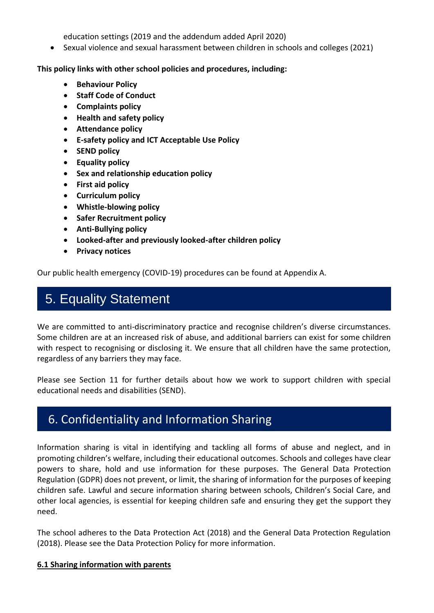education settings (2019 and the addendum added April 2020)

• Sexual violence and sexual harassment between children in schools and colleges (2021)

#### **This policy links with other school policies and procedures, including:**

- **Behaviour Policy**
- **Staff Code of Conduct**
- **Complaints policy**
- **Health and safety policy**
- **Attendance policy**
- **E-safety policy and ICT Acceptable Use Policy**
- **SEND policy**
- **Equality policy**
- **Sex and relationship education policy**
- **First aid policy**
- **Curriculum policy**
- **Whistle-blowing policy**
- **Safer Recruitment policy**
- **Anti-Bullying policy**
- **Looked-after and previously looked-after children policy**
- **Privacy notices**

Our public health emergency (COVID-19) procedures can be found at Appendix A.

# <span id="page-6-0"></span>5. Equality Statement

We are committed to anti-discriminatory practice and recognise children's diverse circumstances. Some children are at an increased risk of abuse, and additional barriers can exist for some children with respect to recognising or disclosing it. We ensure that all children have the same protection, regardless of any barriers they may face.

Please see Section 11 for further details about how we work to support children with special educational needs and disabilities (SEND).

# <span id="page-6-1"></span>6. Confidentiality and Information Sharing

Information sharing is vital in identifying and tackling all forms of abuse and neglect, and in promoting children's welfare, including their educational outcomes. Schools and colleges have clear powers to share, hold and use information for these purposes. The General Data Protection Regulation (GDPR) does not prevent, or limit, the sharing of information for the purposes of keeping children safe. Lawful and secure information sharing between schools, Children's Social Care, and other local agencies, is essential for keeping children safe and ensuring they get the support they need.

The school adheres to the Data Protection Act (2018) and the General Data Protection Regulation (2018). Please see the Data Protection Policy for more information.

#### **6.1 Sharing information with parents**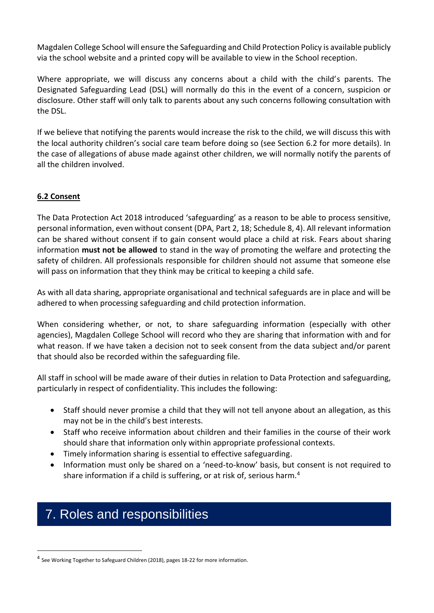Magdalen College School will ensure the Safeguarding and Child Protection Policy is available publicly via the school website and a printed copy will be available to view in the School reception.

Where appropriate, we will discuss any concerns about a child with the child's parents. The Designated Safeguarding Lead (DSL) will normally do this in the event of a concern, suspicion or disclosure. Other staff will only talk to parents about any such concerns following consultation with the DSL.

If we believe that notifying the parents would increase the risk to the child, we will discuss this with the local authority children's social care team before doing so (see Section 6.2 for more details). In the case of allegations of abuse made against other children, we will normally notify the parents of all the children involved.

### **6.2 Consent**

The Data Protection Act 2018 introduced 'safeguarding' as a reason to be able to process sensitive, personal information, even without consent (DPA, Part 2, 18; Schedule 8, 4). All relevant information can be shared without consent if to gain consent would place a child at risk. Fears about sharing information **must not be allowed** to stand in the way of promoting the welfare and protecting the safety of children. All professionals responsible for children should not assume that someone else will pass on information that they think may be critical to keeping a child safe.

As with all data sharing, appropriate organisational and technical safeguards are in place and will be adhered to when processing safeguarding and child protection information.

When considering whether, or not, to share safeguarding information (especially with other agencies), Magdalen College School will record who they are sharing that information with and for what reason. If we have taken a decision not to seek consent from the data subject and/or parent that should also be recorded within the safeguarding file.

All staff in school will be made aware of their duties in relation to Data Protection and safeguarding, particularly in respect of confidentiality. This includes the following:

- Staff should never promise a child that they will not tell anyone about an allegation, as this may not be in the child's best interests.
- Staff who receive information about children and their families in the course of their work should share that information only within appropriate professional contexts.
- Timely information sharing is essential to effective safeguarding.
- Information must only be shared on a 'need-to-know' basis, but consent is not required to share information if a child is suffering, or at risk of, serious harm.<sup>4</sup>

# <span id="page-7-0"></span>7. Roles and responsibilities

<sup>&</sup>lt;sup>4</sup> See Working Together to Safeguard Children (2018), pages 18-22 for more information.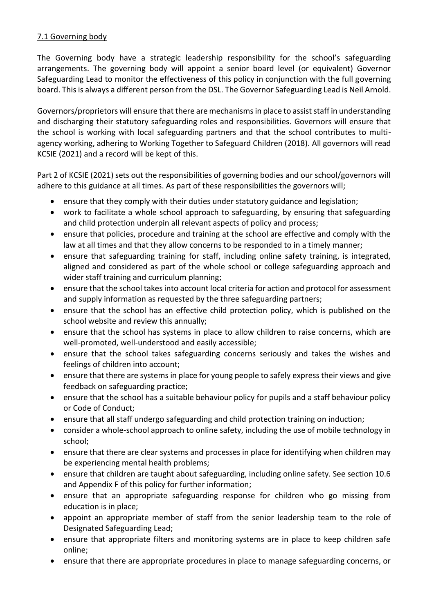### 7.1 Governing body

The Governing body have a strategic leadership responsibility for the school's safeguarding arrangements. The governing body will appoint a senior board level (or equivalent) Governor Safeguarding Lead to monitor the effectiveness of this policy in conjunction with the full governing board. This is always a different person from the DSL. The Governor Safeguarding Lead is Neil Arnold.

Governors/proprietors will ensure that there are mechanisms in place to assist staff in understanding and discharging their statutory safeguarding roles and responsibilities. Governors will ensure that the school is working with local safeguarding partners and that the school contributes to multiagency working, adhering to Working Together to Safeguard Children (2018). All governors will read KCSIE (2021) and a record will be kept of this.

Part 2 of KCSIE (2021) sets out the responsibilities of governing bodies and our school/governors will adhere to this guidance at all times. As part of these responsibilities the governors will;

- ensure that they comply with their duties under statutory guidance and legislation;
- work to facilitate a whole school approach to safeguarding, by ensuring that safeguarding and child protection underpin all relevant aspects of policy and process;
- ensure that policies, procedure and training at the school are effective and comply with the law at all times and that they allow concerns to be responded to in a timely manner;
- ensure that safeguarding training for staff, including online safety training, is integrated, aligned and considered as part of the whole school or college safeguarding approach and wider staff training and curriculum planning;
- ensure that the school takes into account local criteria for action and protocol for assessment and supply information as requested by the three safeguarding partners;
- ensure that the school has an effective child protection policy, which is published on the school website and review this annually;
- ensure that the school has systems in place to allow children to raise concerns, which are well-promoted, well-understood and easily accessible;
- ensure that the school takes safeguarding concerns seriously and takes the wishes and feelings of children into account;
- ensure that there are systems in place for young people to safely express their views and give feedback on safeguarding practice;
- ensure that the school has a suitable behaviour policy for pupils and a staff behaviour policy or Code of Conduct;
- ensure that all staff undergo safeguarding and child protection training on induction;
- consider a whole-school approach to online safety, including the use of mobile technology in school;
- ensure that there are clear systems and processes in place for identifying when children may be experiencing mental health problems;
- ensure that children are taught about safeguarding, including online safety. See section 10.6 and Appendix F of this policy for further information;
- ensure that an appropriate safeguarding response for children who go missing from education is in place;
- appoint an appropriate member of staff from the senior leadership team to the role of Designated Safeguarding Lead;
- ensure that appropriate filters and monitoring systems are in place to keep children safe online;
- ensure that there are appropriate procedures in place to manage safeguarding concerns, or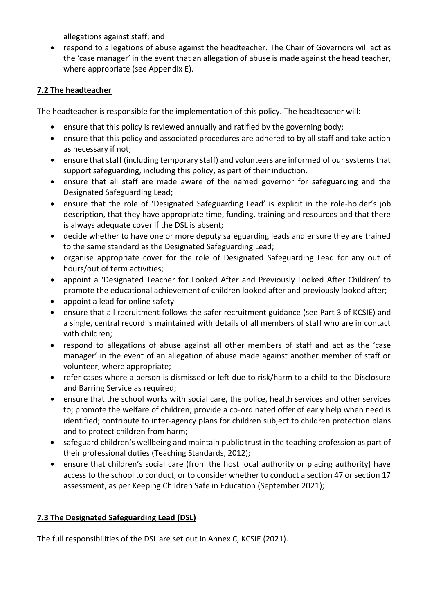allegations against staff; and

• respond to allegations of abuse against the headteacher. The Chair of Governors will act as the 'case manager' in the event that an allegation of abuse is made against the head teacher, where appropriate (see Appendix E).

### **7.2 The headteacher**

The headteacher is responsible for the implementation of this policy. The headteacher will:

- ensure that this policy is reviewed annually and ratified by the governing body;
- ensure that this policy and associated procedures are adhered to by all staff and take action as necessary if not;
- ensure that staff (including temporary staff) and volunteers are informed of our systems that support safeguarding, including this policy, as part of their induction.
- ensure that all staff are made aware of the named governor for safeguarding and the Designated Safeguarding Lead;
- ensure that the role of 'Designated Safeguarding Lead' is explicit in the role-holder's job description, that they have appropriate time, funding, training and resources and that there is always adequate cover if the DSL is absent;
- decide whether to have one or more deputy safeguarding leads and ensure they are trained to the same standard as the Designated Safeguarding Lead;
- organise appropriate cover for the role of Designated Safeguarding Lead for any out of hours/out of term activities;
- appoint a 'Designated Teacher for Looked After and Previously Looked After Children' to promote the educational achievement of children looked after and previously looked after;
- appoint a lead for online safety
- ensure that all recruitment follows the safer recruitment guidance (see Part 3 of KCSIE) and a single, central record is maintained with details of all members of staff who are in contact with children;
- respond to allegations of abuse against all other members of staff and act as the 'case manager' in the event of an allegation of abuse made against another member of staff or volunteer, where appropriate;
- refer cases where a person is dismissed or left due to risk/harm to a child to the Disclosure and Barring Service as required;
- ensure that the school works with social care, the police, health services and other services to; promote the welfare of children; provide a co-ordinated offer of early help when need is identified; contribute to inter-agency plans for children subject to children protection plans and to protect children from harm;
- safeguard children's wellbeing and maintain public trust in the teaching profession as part of their professional duties (Teaching Standards, 2012);
- ensure that children's social care (from the host local authority or placing authority) have access to the school to conduct, or to consider whether to conduct a section 47 or section 17 assessment, as per Keeping Children Safe in Education (September 2021);

## **7.3 The Designated Safeguarding Lead (DSL)**

The full responsibilities of the DSL are set out in Annex C, KCSIE (2021).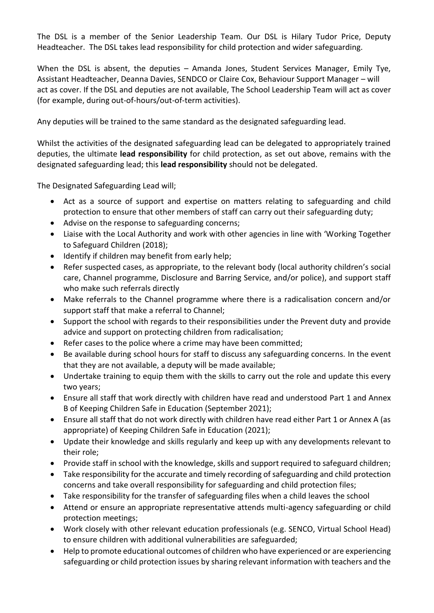The DSL is a member of the Senior Leadership Team. Our DSL is Hilary Tudor Price, Deputy Headteacher. The DSL takes lead responsibility for child protection and wider safeguarding.

When the DSL is absent, the deputies – Amanda Jones, Student Services Manager, Emily Tye, Assistant Headteacher, Deanna Davies, SENDCO or Claire Cox, Behaviour Support Manager – will act as cover. If the DSL and deputies are not available, The School Leadership Team will act as cover (for example, during out-of-hours/out-of-term activities).

Any deputies will be trained to the same standard as the designated safeguarding lead.

Whilst the activities of the designated safeguarding lead can be delegated to appropriately trained deputies, the ultimate **lead responsibility** for child protection, as set out above, remains with the designated safeguarding lead; this **lead responsibility** should not be delegated.

The Designated Safeguarding Lead will;

- Act as a source of support and expertise on matters relating to safeguarding and child protection to ensure that other members of staff can carry out their safeguarding duty;
- Advise on the response to safeguarding concerns;
- Liaise with the Local Authority and work with other agencies in line with 'Working Together to Safeguard Children (2018);
- Identify if children may benefit from early help;
- Refer suspected cases, as appropriate, to the relevant body (local authority children's social care, Channel programme, Disclosure and Barring Service, and/or police), and support staff who make such referrals directly
- Make referrals to the Channel programme where there is a radicalisation concern and/or support staff that make a referral to Channel;
- Support the school with regards to their responsibilities under the Prevent duty and provide advice and support on protecting children from radicalisation;
- Refer cases to the police where a crime may have been committed;
- Be available during school hours for staff to discuss any safeguarding concerns. In the event that they are not available, a deputy will be made available;
- Undertake training to equip them with the skills to carry out the role and update this every two years;
- Ensure all staff that work directly with children have read and understood Part 1 and Annex B of Keeping Children Safe in Education (September 2021);
- Ensure all staff that do not work directly with children have read either Part 1 or Annex A (as appropriate) of Keeping Children Safe in Education (2021);
- Update their knowledge and skills regularly and keep up with any developments relevant to their role;
- Provide staff in school with the knowledge, skills and support required to safeguard children;
- Take responsibility for the accurate and timely recording of safeguarding and child protection concerns and take overall responsibility for safeguarding and child protection files;
- Take responsibility for the transfer of safeguarding files when a child leaves the school
- Attend or ensure an appropriate representative attends multi-agency safeguarding or child protection meetings;
- Work closely with other relevant education professionals (e.g. SENCO, Virtual School Head) to ensure children with additional vulnerabilities are safeguarded;
- Help to promote educational outcomes of children who have experienced or are experiencing safeguarding or child protection issues by sharing relevant information with teachers and the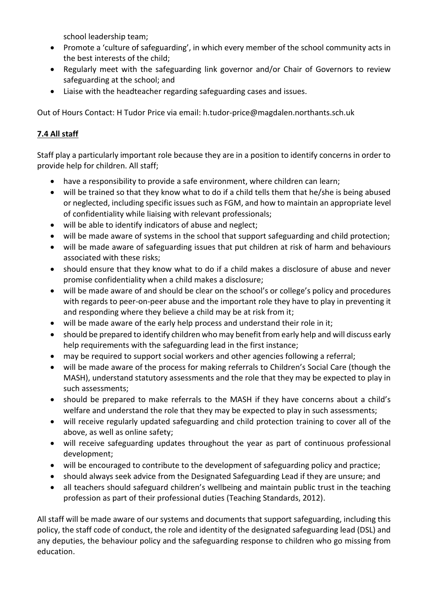school leadership team;

- Promote a 'culture of safeguarding', in which every member of the school community acts in the best interests of the child;
- Regularly meet with the safeguarding link governor and/or Chair of Governors to review safeguarding at the school; and
- Liaise with the headteacher regarding safeguarding cases and issues.

Out of Hours Contact: H Tudor Price via email: h.tudor-price@magdalen.northants.sch.uk

# **7.4 All staff**

Staff play a particularly important role because they are in a position to identify concerns in order to provide help for children. All staff;

- have a responsibility to provide a safe environment, where children can learn;
- will be trained so that they know what to do if a child tells them that he/she is being abused or neglected, including specific issues such as FGM, and how to maintain an appropriate level of confidentiality while liaising with relevant professionals;
- will be able to identify indicators of abuse and neglect;
- will be made aware of systems in the school that support safeguarding and child protection;
- will be made aware of safeguarding issues that put children at risk of harm and behaviours associated with these risks;
- should ensure that they know what to do if a child makes a disclosure of abuse and never promise confidentiality when a child makes a disclosure;
- will be made aware of and should be clear on the school's or college's policy and procedures with regards to peer-on-peer abuse and the important role they have to play in preventing it and responding where they believe a child may be at risk from it;
- will be made aware of the early help process and understand their role in it;
- should be prepared to identify children who may benefit from early help and will discuss early help requirements with the safeguarding lead in the first instance;
- may be required to support social workers and other agencies following a referral;
- will be made aware of the process for making referrals to Children's Social Care (though the MASH), understand statutory assessments and the role that they may be expected to play in such assessments;
- should be prepared to make referrals to the MASH if they have concerns about a child's welfare and understand the role that they may be expected to play in such assessments;
- will receive regularly updated safeguarding and child protection training to cover all of the above, as well as online safety;
- will receive safeguarding updates throughout the year as part of continuous professional development;
- will be encouraged to contribute to the development of safeguarding policy and practice;
- should always seek advice from the Designated Safeguarding Lead if they are unsure; and
- all teachers should safeguard children's wellbeing and maintain public trust in the teaching profession as part of their professional duties (Teaching Standards, 2012).

All staff will be made aware of our systems and documents that support safeguarding, including this policy, the staff code of conduct, the role and identity of the designated safeguarding lead (DSL) and any deputies, the behaviour policy and the safeguarding response to children who go missing from education.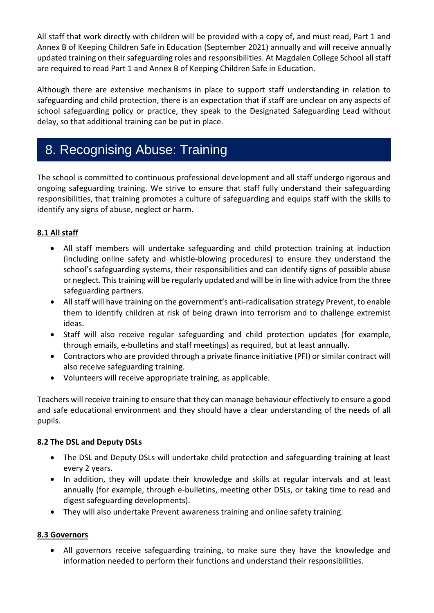All staff that work directly with children will be provided with a copy of, and must read, Part 1 and Annex B of Keeping Children Safe in Education (September 2021) annually and will receive annually updated training on their safeguarding roles and responsibilities. At Magdalen College School all staff are required to read Part 1 and Annex B of Keeping Children Safe in Education.

Although there are extensive mechanisms in place to support staff understanding in relation to safeguarding and child protection, there is an expectation that if staff are unclear on any aspects of school safeguarding policy or practice, they speak to the Designated Safeguarding Lead without delay, so that additional training can be put in place.

# <span id="page-12-0"></span>8. Recognising Abuse: Training

The school is committed to continuous professional development and all staff undergo rigorous and ongoing safeguarding training. We strive to ensure that staff fully understand their safeguarding responsibilities, that training promotes a culture of safeguarding and equips staff with the skills to identify any signs of abuse, neglect or harm.

# **8.1 All staff**

- All staff members will undertake safeguarding and child protection training at induction (including online safety and whistle-blowing procedures) to ensure they understand the school's safeguarding systems, their responsibilities and can identify signs of possible abuse or neglect. This training will be regularly updated and will be in line with advice from the three safeguarding partners.
- All staff will have training on the government's anti-radicalisation strategy Prevent, to enable them to identify children at risk of being drawn into terrorism and to challenge extremist ideas.
- Staff will also receive regular safeguarding and child protection updates (for example, through emails, e-bulletins and staff meetings) as required, but at least annually.
- Contractors who are provided through a private finance initiative (PFI) or similar contract will also receive safeguarding training.
- Volunteers will receive appropriate training, as applicable.

Teachers will receive training to ensure that they can manage behaviour effectively to ensure a good and safe educational environment and they should have a clear understanding of the needs of all pupils.

## **8.2 The DSL and Deputy DSLs**

- The DSL and Deputy DSLs will undertake child protection and safeguarding training at least every 2 years.
- In addition, they will update their knowledge and skills at regular intervals and at least annually (for example, through e-bulletins, meeting other DSLs, or taking time to read and digest safeguarding developments).
- They will also undertake Prevent awareness training and online safety training.

## **8.3 Governors**

• All governors receive safeguarding training, to make sure they have the knowledge and information needed to perform their functions and understand their responsibilities.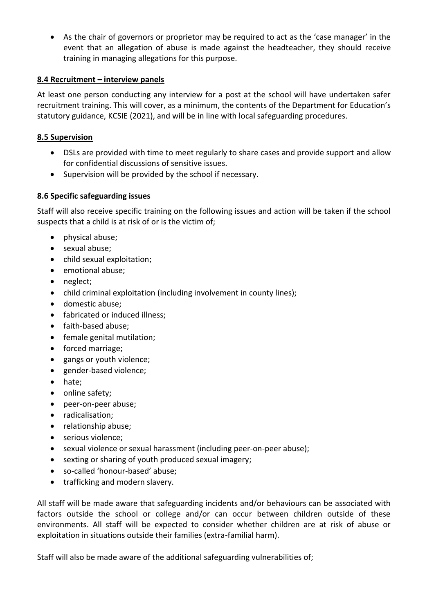• As the chair of governors or proprietor may be required to act as the 'case manager' in the event that an allegation of abuse is made against the headteacher, they should receive training in managing allegations for this purpose.

#### **8.4 Recruitment – interview panels**

At least one person conducting any interview for a post at the school will have undertaken safer recruitment training. This will cover, as a minimum, the contents of the Department for Education's statutory guidance, KCSIE (2021), and will be in line with local safeguarding procedures.

#### **8.5 Supervision**

- DSLs are provided with time to meet regularly to share cases and provide support and allow for confidential discussions of sensitive issues.
- Supervision will be provided by the school if necessary.

#### **8.6 Specific safeguarding issues**

Staff will also receive specific training on the following issues and action will be taken if the school suspects that a child is at risk of or is the victim of;

- physical abuse;
- sexual abuse;
- child sexual exploitation;
- emotional abuse;
- neglect;
- child criminal exploitation (including involvement in county lines);
- domestic abuse;
- fabricated or induced illness;
- faith-based abuse;
- female genital mutilation;
- forced marriage;
- gangs or youth violence;
- gender-based violence;
- hate;
- online safety;
- peer-on-peer abuse;
- radicalisation;
- relationship abuse;
- serious violence;
- sexual violence or sexual harassment (including peer-on-peer abuse);
- sexting or sharing of youth produced sexual imagery;
- so-called 'honour-based' abuse;
- trafficking and modern slavery.

All staff will be made aware that safeguarding incidents and/or behaviours can be associated with factors outside the school or college and/or can occur between children outside of these environments. All staff will be expected to consider whether children are at risk of abuse or exploitation in situations outside their families (extra-familial harm).

Staff will also be made aware of the additional safeguarding vulnerabilities of;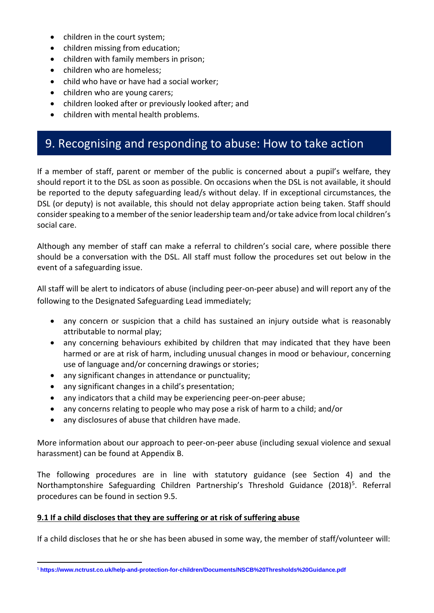- children in the court system;
- children missing from education;
- children with family members in prison;
- children who are homeless:
- child who have or have had a social worker;
- children who are young carers;
- children looked after or previously looked after; and
- children with mental health problems.

# <span id="page-14-0"></span>9. Recognising and responding to abuse: How to take action

If a member of staff, parent or member of the public is concerned about a pupil's welfare, they should report it to the DSL as soon as possible. On occasions when the DSL is not available, it should be reported to the deputy safeguarding lead/s without delay. If in exceptional circumstances, the DSL (or deputy) is not available, this should not delay appropriate action being taken. Staff should consider speaking to a member of the senior leadership team and/or take advice from local children's social care.

Although any member of staff can make a referral to children's social care, where possible there should be a conversation with the DSL. All staff must follow the procedures set out below in the event of a safeguarding issue.

All staff will be alert to indicators of abuse (including peer-on-peer abuse) and will report any of the following to the Designated Safeguarding Lead immediately;

- any concern or suspicion that a child has sustained an injury outside what is reasonably attributable to normal play;
- any concerning behaviours exhibited by children that may indicated that they have been harmed or are at risk of harm, including unusual changes in mood or behaviour, concerning use of language and/or concerning drawings or stories;
- any significant changes in attendance or punctuality;
- any significant changes in a child's presentation;
- any indicators that a child may be experiencing peer-on-peer abuse;
- any concerns relating to people who may pose a risk of harm to a child; and/or
- any disclosures of abuse that children have made.

More information about our approach to peer-on-peer abuse (including sexual violence and sexual harassment) can be found at Appendix B.

The following procedures are in line with statutory guidance (see Section 4) and the Northamptonshire Safeguarding Children Partnership's Threshold Guidance (2018)<sup>5</sup>. Referral procedures can be found in section 9.5.

#### **9.1 If a child discloses that they are suffering or at risk of suffering abuse**

If a child discloses that he or she has been abused in some way, the member of staff/volunteer will:

<sup>5</sup> **<https://www.nctrust.co.uk/help-and-protection-for-children/Documents/NSCB%20Thresholds%20Guidance.pdf>**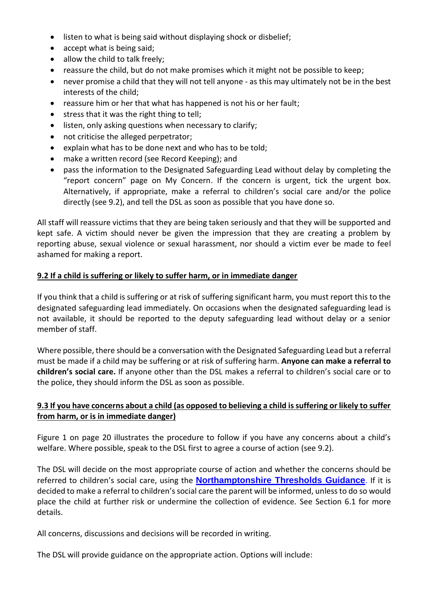- listen to what is being said without displaying shock or disbelief;
- accept what is being said;
- allow the child to talk freely:
- reassure the child, but do not make promises which it might not be possible to keep;
- never promise a child that they will not tell anyone as this may ultimately not be in the best interests of the child;
- reassure him or her that what has happened is not his or her fault;
- stress that it was the right thing to tell;
- listen, only asking questions when necessary to clarify;
- not criticise the alleged perpetrator;
- explain what has to be done next and who has to be told;
- make a written record (see Record Keeping); and
- pass the information to the Designated Safeguarding Lead without delay by completing the "report concern" page on My Concern. If the concern is urgent, tick the urgent box. Alternatively, if appropriate, make a referral to children's social care and/or the police directly (see 9.2), and tell the DSL as soon as possible that you have done so.

All staff will reassure victims that they are being taken seriously and that they will be supported and kept safe. A victim should never be given the impression that they are creating a problem by reporting abuse, sexual violence or sexual harassment, nor should a victim ever be made to feel ashamed for making a report.

#### **9.2 If a child is suffering or likely to suffer harm, or in immediate danger**

If you think that a child is suffering or at risk of suffering significant harm, you must report this to the designated safeguarding lead immediately. On occasions when the designated safeguarding lead is not available, it should be reported to the deputy safeguarding lead without delay or a senior member of staff.

Where possible, there should be a conversation with the Designated Safeguarding Lead but a referral must be made if a child may be suffering or at risk of suffering harm. **Anyone can make a referral to children's social care.** If anyone other than the DSL makes a referral to children's social care or to the police, they should inform the DSL as soon as possible.

## **9.3 If you have concerns about a child (as opposed to believing a child is suffering or likely to suffer from harm, or is in immediate danger)**

Figure 1 on page 20 illustrates the procedure to follow if you have any concerns about a child's welfare. Where possible, speak to the DSL first to agree a course of action (see 9.2).

The DSL will decide on the most appropriate course of action and whether the concerns should be referred to children's social care, using the **[Northamptonshire Thresholds Guidance](https://www.nctrust.co.uk/help-and-protection-for-children/Documents/NSCB%20Thresholds%20Guidance%202018%20Updated%20Sept%202020.pdf)**. If it is decided to make a referral to children's social care the parent will be informed, unless to do so would place the child at further risk or undermine the collection of evidence. See Section 6.1 for more details.

All concerns, discussions and decisions will be recorded in writing.

The DSL will provide guidance on the appropriate action. Options will include: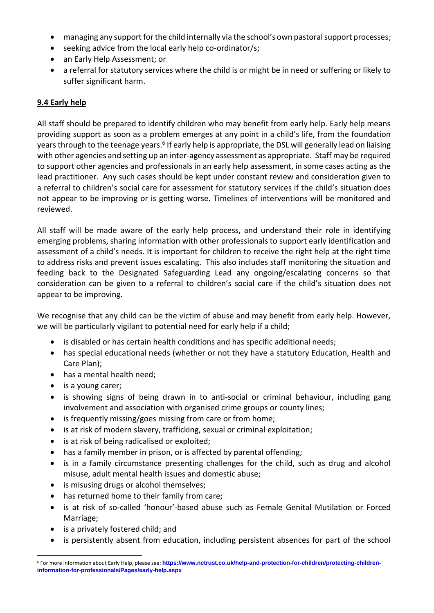- managing any support for the child internally via the school's own pastoral support processes;
- seeking advice from the local early help co-ordinator/s;
- an Early Help Assessment; or
- a referral for statutory services where the child is or might be in need or suffering or likely to suffer significant harm.

#### **9.4 Early help**

All staff should be prepared to identify children who may benefit from early help. Early help means providing support as soon as a problem emerges at any point in a child's life, from the foundation years through to the teenage years.<sup>6</sup> If early help is appropriate, the DSL will generally lead on liaising with other agencies and setting up an inter-agency assessment as appropriate. Staff may be required to support other agencies and professionals in an early help assessment, in some cases acting as the lead practitioner. Any such cases should be kept under constant review and consideration given to a referral to children's social care for assessment for statutory services if the child's situation does not appear to be improving or is getting worse. Timelines of interventions will be monitored and reviewed.

All staff will be made aware of the early help process, and understand their role in identifying emerging problems, sharing information with other professionals to support early identification and assessment of a child's needs. It is important for children to receive the right help at the right time to address risks and prevent issues escalating. This also includes staff monitoring the situation and feeding back to the Designated Safeguarding Lead any ongoing/escalating concerns so that consideration can be given to a referral to children's social care if the child's situation does not appear to be improving.

We recognise that any child can be the victim of abuse and may benefit from early help. However, we will be particularly vigilant to potential need for early help if a child;

- is disabled or has certain health conditions and has specific additional needs;
- has special educational needs (whether or not they have a statutory Education, Health and Care Plan);
- has a mental health need;
- is a young carer;
- is showing signs of being drawn in to anti-social or criminal behaviour, including gang involvement and association with organised crime groups or county lines;
- is frequently missing/goes missing from care or from home;
- is at risk of modern slavery, trafficking, sexual or criminal exploitation;
- is at risk of being radicalised or exploited;
- has a family member in prison, or is affected by parental offending;
- is in a family circumstance presenting challenges for the child, such as drug and alcohol misuse, adult mental health issues and domestic abuse;
- is misusing drugs or alcohol themselves;
- has returned home to their family from care;
- is at risk of so-called 'honour'-based abuse such as Female Genital Mutilation or Forced Marriage;
- is a privately fostered child; and
- is persistently absent from education, including persistent absences for part of the school

<sup>&</sup>lt;sup>6</sup> For more information about Early Help, please see: [https://www.nctrust.co.uk/help-and-protection-for-children/protecting-children](https://www.nctrust.co.uk/help-and-protection-for-children/protecting-children-information-for-professionals/Pages/early-help.aspx)**[information-for-professionals/Pages/early-help.aspx](https://www.nctrust.co.uk/help-and-protection-for-children/protecting-children-information-for-professionals/Pages/early-help.aspx)**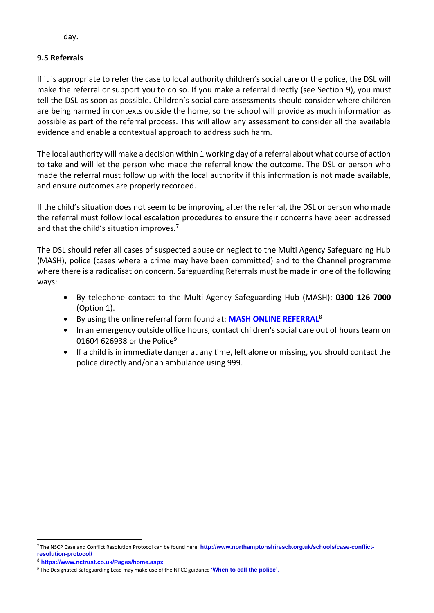day.

### **9.5 Referrals**

If it is appropriate to refer the case to local authority children's social care or the police, the DSL will make the referral or support you to do so. If you make a referral directly (see Section 9), you must tell the DSL as soon as possible. Children's social care assessments should consider where children are being harmed in contexts outside the home, so the school will provide as much information as possible as part of the referral process. This will allow any assessment to consider all the available evidence and enable a contextual approach to address such harm.

The local authority will make a decision within 1 working day of a referral about what course of action to take and will let the person who made the referral know the outcome. The DSL or person who made the referral must follow up with the local authority if this information is not made available, and ensure outcomes are properly recorded.

If the child's situation does not seem to be improving after the referral, the DSL or person who made the referral must follow local escalation procedures to ensure their concerns have been addressed and that the child's situation improves.<sup>7</sup>

The DSL should refer all cases of suspected abuse or neglect to the Multi Agency Safeguarding Hub (MASH), police (cases where a crime may have been committed) and to the Channel programme where there is a radicalisation concern. Safeguarding Referrals must be made in one of the following ways:

- By telephone contact to the Multi-Agency Safeguarding Hub (MASH): **0300 126 7000** (Option 1).
- By using the online referral form found at: **[MASH ONLINE REFERRAL](https://northamptonshire-self.achieveservice.com/en/service/Make_a_children_s_referral_to_Northamptonshire_s_MASH#_ga=2.187353770.300324614.1594493492-1170358420.1548097488)**<sup>8</sup>
- In an emergency outside office hours, contact children's social care out of hours team on 01604 626938 or the Police<sup>9</sup>
- If a child is in immediate danger at any time, left alone or missing, you should contact the police directly and/or an ambulance using 999.

<sup>7</sup> The NSCP Case and Conflict Resolution Protocol can be found here: **[http://www.northamptonshirescb.org.uk/schools/case-conflict](http://www.northamptonshirescb.org.uk/schools/case-conflict-resolution-protocol/)[resolution-protocol/](http://www.northamptonshirescb.org.uk/schools/case-conflict-resolution-protocol/)**

<sup>8</sup> **<https://www.nctrust.co.uk/Pages/home.aspx>**

<sup>9</sup> The Designated Safeguarding Lead may make use of the NPCC guidance **['When to call the police'](https://www.npcc.police.uk/documents/Children%20and%20Young%20people/When%20to%20call%20the%20police%20guidance%20for%20schools%20and%20colleges.pdf)**.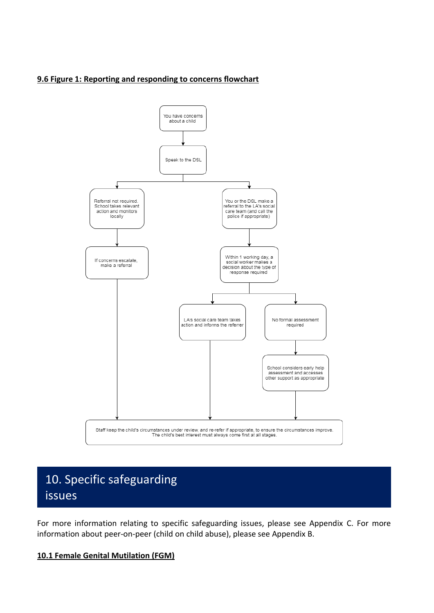#### **9.6 Figure 1: Reporting and responding to concerns flowchart**



# <span id="page-18-0"></span>10. Specific safeguarding issues

For more information relating to specific safeguarding issues, please see Appendix C. For more information about peer-on-peer (child on child abuse), please see Appendix B.

#### **10.1 Female Genital Mutilation (FGM)**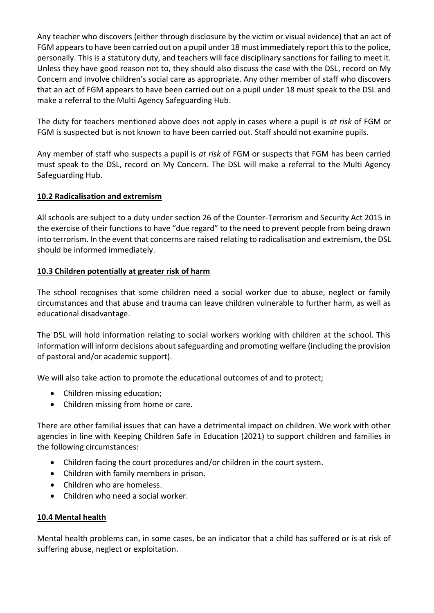Any teacher who discovers (either through disclosure by the victim or visual evidence) that an act of FGM appears to have been carried out on a pupil under 18 must immediately report this to the police, personally. This is a statutory duty, and teachers will face disciplinary sanctions for failing to meet it. Unless they have good reason not to, they should also discuss the case with the DSL, record on My Concern and involve children's social care as appropriate. Any other member of staff who discovers that an act of FGM appears to have been carried out on a pupil under 18 must speak to the DSL and make a referral to the Multi Agency Safeguarding Hub.

The duty for teachers mentioned above does not apply in cases where a pupil is *at risk* of FGM or FGM is suspected but is not known to have been carried out. Staff should not examine pupils.

Any member of staff who suspects a pupil is *at risk* of FGM or suspects that FGM has been carried must speak to the DSL, record on My Concern. The DSL will make a referral to the Multi Agency Safeguarding Hub.

#### **10.2 Radicalisation and extremism**

All schools are subject to a duty under section 26 of the Counter-Terrorism and Security Act 2015 in the exercise of their functions to have "due regard" to the need to prevent people from being drawn into terrorism. In the event that concerns are raised relating to radicalisation and extremism, the DSL should be informed immediately.

#### **10.3 Children potentially at greater risk of harm**

The school recognises that some children need a social worker due to abuse, neglect or family circumstances and that abuse and trauma can leave children vulnerable to further harm, as well as educational disadvantage.

The DSL will hold information relating to social workers working with children at the school. This information will inform decisions about safeguarding and promoting welfare (including the provision of pastoral and/or academic support).

We will also take action to promote the educational outcomes of and to protect;

- Children missing education;
- Children missing from home or care.

There are other familial issues that can have a detrimental impact on children. We work with other agencies in line with Keeping Children Safe in Education (2021) to support children and families in the following circumstances:

- Children facing the court procedures and/or children in the court system.
- Children with family members in prison.
- Children who are homeless.
- Children who need a social worker.

#### **10.4 Mental health**

Mental health problems can, in some cases, be an indicator that a child has suffered or is at risk of suffering abuse, neglect or exploitation.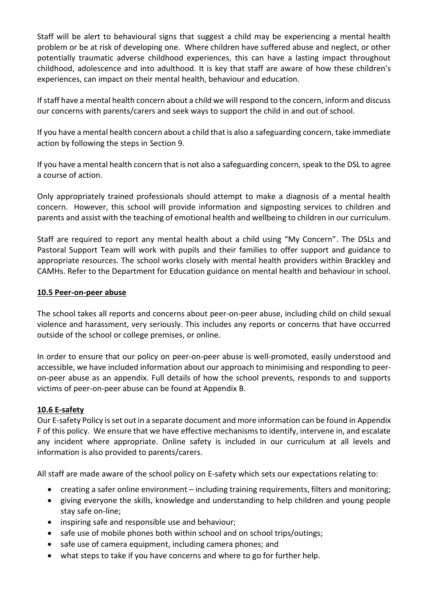Staff will be alert to behavioural signs that suggest a child may be experiencing a mental health problem or be at risk of developing one. Where children have suffered abuse and neglect, or other potentially traumatic adverse childhood experiences, this can have a lasting impact throughout childhood, adolescence and into adulthood. It is key that staff are aware of how these children's experiences, can impact on their mental health, behaviour and education.

If staff have a mental health concern about a child we will respond to the concern, inform and discuss our concerns with parents/carers and seek ways to support the child in and out of school.

If you have a mental health concern about a child that is also a safeguarding concern, take immediate action by following the steps in Section 9.

If you have a mental health concern that is not also a safeguarding concern, speak to the DSL to agree a course of action.

Only appropriately trained professionals should attempt to make a diagnosis of a mental health concern. However, this school will provide information and signposting services to children and parents and assist with the teaching of emotional health and wellbeing to children in our curriculum.

Staff are required to report any mental health about a child using "My Concern". The DSLs and Pastoral Support Team will work with pupils and their families to offer support and guidance to appropriate resources. The school works closely with mental health providers within Brackley and CAMHs. Refer to the Department for Education guidance on mental health and behaviour in school.

#### **10.5 Peer-on-peer abuse**

The school takes all reports and concerns about peer-on-peer abuse, including child on child sexual violence and harassment, very seriously. This includes any reports or concerns that have occurred outside of the school or college premises, or online.

In order to ensure that our policy on peer-on-peer abuse is well-promoted, easily understood and accessible, we have included information about our approach to minimising and responding to peeron-peer abuse as an appendix. Full details of how the school prevents, responds to and supports victims of peer-on-peer abuse can be found at Appendix B.

#### **10.6 E-safety**

Our E-safety Policy is set out in a separate document and more information can be found in Appendix F of this policy. We ensure that we have effective mechanisms to identify, intervene in, and escalate any incident where appropriate. Online safety is included in our curriculum at all levels and information is also provided to parents/carers.

All staff are made aware of the school policy on E-safety which sets our expectations relating to:

- creating a safer online environment including training requirements, filters and monitoring;
- giving everyone the skills, knowledge and understanding to help children and young people stay safe on-line;
- inspiring safe and responsible use and behaviour;
- safe use of mobile phones both within school and on school trips/outings;
- safe use of camera equipment, including camera phones; and
- what steps to take if you have concerns and where to go for further help.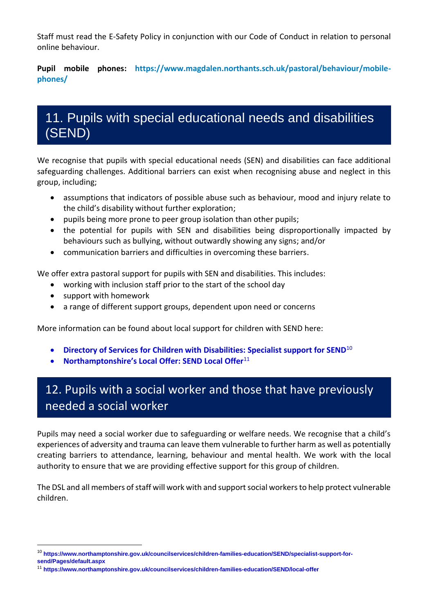Staff must read the E-Safety Policy in conjunction with our Code of Conduct in relation to personal online behaviour.

### **Pupil mobile phones: [https://www.magdalen.northants.sch.uk/pastoral/behaviour/mobile](https://www.magdalen.northants.sch.uk/pastoral/behaviour/mobile-phones/)[phones/](https://www.magdalen.northants.sch.uk/pastoral/behaviour/mobile-phones/)**

# <span id="page-21-0"></span>11. Pupils with special educational needs and disabilities (SEND)

We recognise that pupils with special educational needs (SEN) and disabilities can face additional safeguarding challenges. Additional barriers can exist when recognising abuse and neglect in this group, including;

- assumptions that indicators of possible abuse such as behaviour, mood and injury relate to the child's disability without further exploration;
- pupils being more prone to peer group isolation than other pupils;
- the potential for pupils with SEN and disabilities being disproportionally impacted by behaviours such as bullying, without outwardly showing any signs; and/or
- communication barriers and difficulties in overcoming these barriers.

We offer extra pastoral support for pupils with SEN and disabilities. This includes:

- working with inclusion staff prior to the start of the school day
- support with homework
- a range of different support groups, dependent upon need or concerns

More information can be found about local support for children with SEND here:

- **[Directory of Services for Children with Disabilities: Specialist support for SEND](https://www.northamptonshire.gov.uk/councilservices/children-families-education/SEND/specialist-support-for-send/Pages/default.aspx)**<sup>10</sup>
- **[Northamptonshire's Local Offer: SEND Local Offer](https://www.northamptonshire.gov.uk/councilservices/children-families-education/SEND/local-offer)**<sup>11</sup>

# <span id="page-21-1"></span>12. Pupils with a social worker and those that have previously needed a social worker

Pupils may need a social worker due to safeguarding or welfare needs. We recognise that a child's experiences of adversity and trauma can leave them vulnerable to further harm as well as potentially creating barriers to attendance, learning, behaviour and mental health. We work with the local authority to ensure that we are providing effective support for this group of children.

The DSL and all members of staff will work with and support social workers to help protect vulnerable children.

<sup>&</sup>lt;sup>10</sup> [https://www.northamptonshire.gov.uk/councilservices/children-families-education/SEND/specialist-support-for](https://www.northamptonshire.gov.uk/councilservices/children-families-education/SEND/specialist-support-for-send/Pages/default.aspx)**[send/Pages/default.aspx](https://www.northamptonshire.gov.uk/councilservices/children-families-education/SEND/specialist-support-for-send/Pages/default.aspx)**

<sup>11</sup> **<https://www.northamptonshire.gov.uk/councilservices/children-families-education/SEND/local-offer>**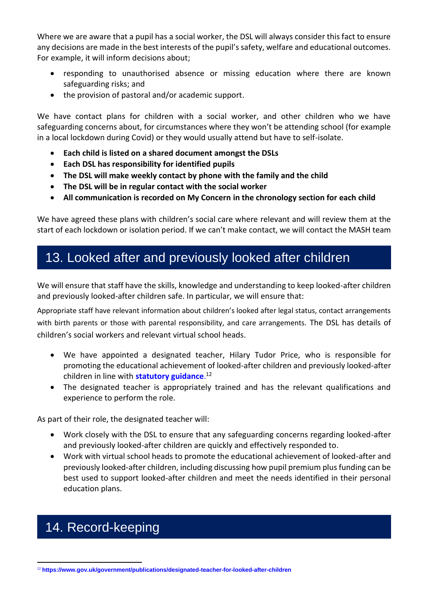Where we are aware that a pupil has a social worker, the DSL will always consider this fact to ensure any decisions are made in the best interests of the pupil's safety, welfare and educational outcomes. For example, it will inform decisions about;

- responding to unauthorised absence or missing education where there are known safeguarding risks; and
- the provision of pastoral and/or academic support.

We have contact plans for children with a social worker, and other children who we have safeguarding concerns about, for circumstances where they won't be attending school (for example in a local lockdown during Covid) or they would usually attend but have to self-isolate.

- **Each child is listed on a shared document amongst the DSLs**
- **Each DSL has responsibility for identified pupils**
- **The DSL will make weekly contact by phone with the family and the child**
- **The DSL will be in regular contact with the social worker**
- **All communication is recorded on My Concern in the chronology section for each child**

We have agreed these plans with children's social care where relevant and will review them at the start of each lockdown or isolation period. If we can't make contact, we will contact the MASH team

# <span id="page-22-0"></span>13. Looked after and previously looked after children

We will ensure that staff have the skills, knowledge and understanding to keep looked-after children and previously looked-after children safe. In particular, we will ensure that:

Appropriate staff have relevant information about children's looked after legal status, contact arrangements with birth parents or those with parental responsibility, and care arrangements. The DSL has details of children's social workers and relevant virtual school heads.

- We have appointed a designated teacher, Hilary Tudor Price, who is responsible for promoting the educational achievement of looked-after children and previously looked-after children in line with **[statutory guidance](https://www.gov.uk/government/publications/designated-teacher-for-looked-after-children)**. 12
- The designated teacher is appropriately trained and has the relevant qualifications and experience to perform the role.

As part of their role, the designated teacher will:

- Work closely with the DSL to ensure that any safeguarding concerns regarding looked-after and previously looked-after children are quickly and effectively responded to.
- Work with virtual school heads to promote the educational achievement of looked-after and previously looked-after children, including discussing how pupil premium plus funding can be best used to support looked-after children and meet the needs identified in their personal education plans.

# <span id="page-22-1"></span>14. Record-keeping

<sup>12</sup> **<https://www.gov.uk/government/publications/designated-teacher-for-looked-after-children>**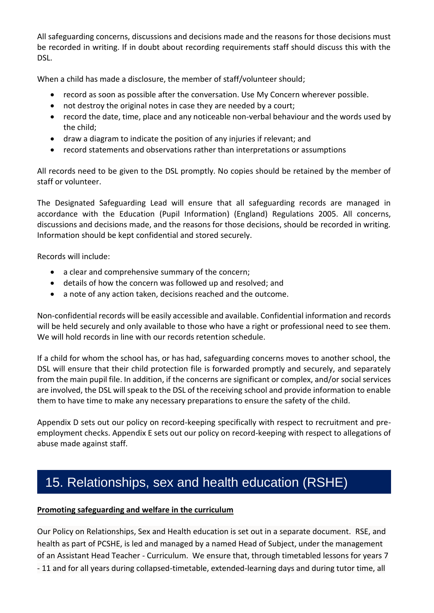All safeguarding concerns, discussions and decisions made and the reasons for those decisions must be recorded in writing. If in doubt about recording requirements staff should discuss this with the DSL.

When a child has made a disclosure, the member of staff/volunteer should;

- record as soon as possible after the conversation. Use My Concern wherever possible.
- not destroy the original notes in case they are needed by a court;
- record the date, time, place and any noticeable non-verbal behaviour and the words used by the child;
- draw a diagram to indicate the position of any injuries if relevant; and
- record statements and observations rather than interpretations or assumptions

All records need to be given to the DSL promptly. No copies should be retained by the member of staff or volunteer.

The Designated Safeguarding Lead will ensure that all safeguarding records are managed in accordance with the Education (Pupil Information) (England) Regulations 2005. All concerns, discussions and decisions made, and the reasons for those decisions, should be recorded in writing. Information should be kept confidential and stored securely.

Records will include:

- a clear and comprehensive summary of the concern;
- details of how the concern was followed up and resolved; and
- a note of any action taken, decisions reached and the outcome.

Non-confidential records will be easily accessible and available. Confidential information and records will be held securely and only available to those who have a right or professional need to see them. We will hold records in line with our records retention schedule.

If a child for whom the school has, or has had, safeguarding concerns moves to another school, the DSL will ensure that their child protection file is forwarded promptly and securely, and separately from the main pupil file. In addition, if the concerns are significant or complex, and/or social services are involved, the DSL will speak to the DSL of the receiving school and provide information to enable them to have time to make any necessary preparations to ensure the safety of the child.

Appendix D sets out our policy on record-keeping specifically with respect to recruitment and preemployment checks. Appendix E sets out our policy on record-keeping with respect to allegations of abuse made against staff.

# <span id="page-23-0"></span>15. Relationships, sex and health education (RSHE)

#### **Promoting safeguarding and welfare in the curriculum**

Our Policy on Relationships, Sex and Health education is set out in a separate document. RSE, and health as part of PCSHE, is led and managed by a named Head of Subject, under the management of an Assistant Head Teacher - Curriculum. We ensure that, through timetabled lessons for years 7 - 11 and for all years during collapsed-timetable, extended-learning days and during tutor time, all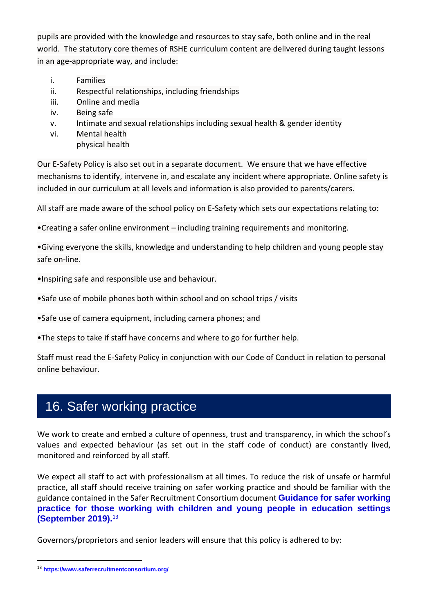pupils are provided with the knowledge and resources to stay safe, both online and in the real world. The statutory core themes of RSHE curriculum content are delivered during taught lessons in an age-appropriate way, and include:

- i. Families
- ii. Respectful relationships, including friendships
- iii. Online and media
- iv. Being safe
- v. Intimate and sexual relationships including sexual health & gender identity
- vi. Mental health physical health

Our E-Safety Policy is also set out in a separate document. We ensure that we have effective mechanisms to identify, intervene in, and escalate any incident where appropriate. Online safety is included in our curriculum at all levels and information is also provided to parents/carers.

All staff are made aware of the school policy on E-Safety which sets our expectations relating to:

•Creating a safer online environment – including training requirements and monitoring.

•Giving everyone the skills, knowledge and understanding to help children and young people stay safe on-line.

•Inspiring safe and responsible use and behaviour.

•Safe use of mobile phones both within school and on school trips / visits

•Safe use of camera equipment, including camera phones; and

•The steps to take if staff have concerns and where to go for further help.

Staff must read the E-Safety Policy in conjunction with our Code of Conduct in relation to personal online behaviour.

# <span id="page-24-0"></span>16. Safer working practice

We work to create and embed a culture of openness, trust and transparency, in which the school's values and expected behaviour (as set out in the staff code of conduct) are constantly lived, monitored and reinforced by all staff.

We expect all staff to act with professionalism at all times. To reduce the risk of unsafe or harmful practice, all staff should receive training on safer working practice and should be familiar with the guidance contained in the Safer Recruitment Consortium document **[Guidance for safer working](https://www.saferrecruitmentconsortium.org/GSWP%20Sept%202019.pdf)  [practice for those working with children and young people in education settings](https://www.saferrecruitmentconsortium.org/GSWP%20Sept%202019.pdf)  [\(September 2019\).](https://www.saferrecruitmentconsortium.org/GSWP%20Sept%202019.pdf)**<sup>13</sup>

Governors/proprietors and senior leaders will ensure that this policy is adhered to by:

<sup>13</sup> **<https://www.saferrecruitmentconsortium.org/>**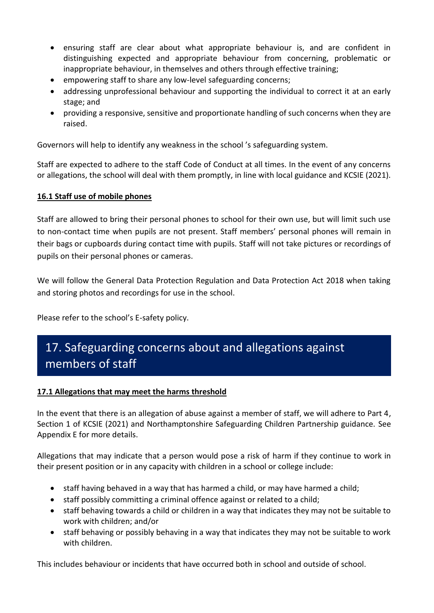- ensuring staff are clear about what appropriate behaviour is, and are confident in distinguishing expected and appropriate behaviour from concerning, problematic or inappropriate behaviour, in themselves and others through effective training;
- empowering staff to share any low-level safeguarding concerns;
- addressing unprofessional behaviour and supporting the individual to correct it at an early stage; and
- providing a responsive, sensitive and proportionate handling of such concerns when they are raised.

Governors will help to identify any weakness in the school 's safeguarding system.

Staff are expected to adhere to the staff Code of Conduct at all times. In the event of any concerns or allegations, the school will deal with them promptly, in line with local guidance and KCSIE (2021).

### **16.1 Staff use of mobile phones**

Staff are allowed to bring their personal phones to school for their own use, but will limit such use to non-contact time when pupils are not present. Staff members' personal phones will remain in their bags or cupboards during contact time with pupils. Staff will not take pictures or recordings of pupils on their personal phones or cameras.

We will follow the General Data Protection Regulation and Data Protection Act 2018 when taking and storing photos and recordings for use in the school.

Please refer to the school's E-safety policy.

# <span id="page-25-0"></span>17. Safeguarding concerns about and allegations against members of staff

#### **17.1 Allegations that may meet the harms threshold**

In the event that there is an allegation of abuse against a member of staff, we will adhere to Part 4, Section 1 of KCSIE (2021) and Northamptonshire Safeguarding Children Partnership guidance. See Appendix E for more details.

Allegations that may indicate that a person would pose a risk of harm if they continue to work in their present position or in any capacity with children in a school or college include:

- staff having behaved in a way that has harmed a child, or may have harmed a child;
- staff possibly committing a criminal offence against or related to a child;
- staff behaving towards a child or children in a way that indicates they may not be suitable to work with children; and/or
- staff behaving or possibly behaving in a way that indicates they may not be suitable to work with children.

This includes behaviour or incidents that have occurred both in school and outside of school.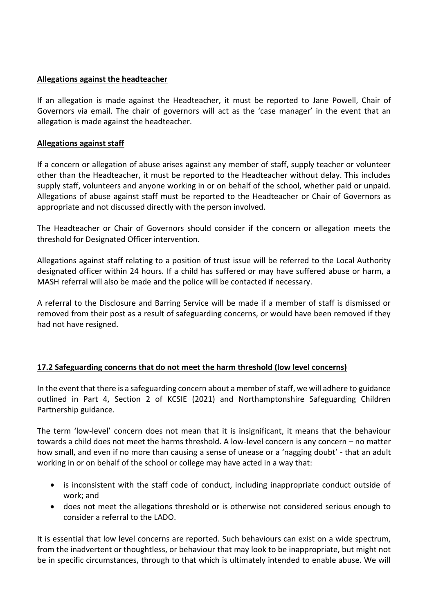#### **Allegations against the headteacher**

If an allegation is made against the Headteacher, it must be reported to Jane Powell, Chair of Governors via email. The chair of governors will act as the 'case manager' in the event that an allegation is made against the headteacher.

#### **Allegations against staff**

If a concern or allegation of abuse arises against any member of staff, supply teacher or volunteer other than the Headteacher, it must be reported to the Headteacher without delay. This includes supply staff, volunteers and anyone working in or on behalf of the school, whether paid or unpaid. Allegations of abuse against staff must be reported to the Headteacher or Chair of Governors as appropriate and not discussed directly with the person involved.

The Headteacher or Chair of Governors should consider if the concern or allegation meets the threshold for Designated Officer intervention.

Allegations against staff relating to a position of trust issue will be referred to the Local Authority designated officer within 24 hours. If a child has suffered or may have suffered abuse or harm, a MASH referral will also be made and the police will be contacted if necessary.

A referral to the Disclosure and Barring Service will be made if a member of staff is dismissed or removed from their post as a result of safeguarding concerns, or would have been removed if they had not have resigned.

#### **17.2 Safeguarding concerns that do not meet the harm threshold (low level concerns)**

In the event that there is a safeguarding concern about a member of staff, we will adhere to guidance outlined in Part 4, Section 2 of KCSIE (2021) and Northamptonshire Safeguarding Children Partnership guidance.

The term 'low-level' concern does not mean that it is insignificant, it means that the behaviour towards a child does not meet the harms threshold. A low-level concern is any concern – no matter how small, and even if no more than causing a sense of unease or a 'nagging doubt' - that an adult working in or on behalf of the school or college may have acted in a way that:

- is inconsistent with the staff code of conduct, including inappropriate conduct outside of work; and
- does not meet the allegations threshold or is otherwise not considered serious enough to consider a referral to the LADO.

It is essential that low level concerns are reported. Such behaviours can exist on a wide spectrum, from the inadvertent or thoughtless, or behaviour that may look to be inappropriate, but might not be in specific circumstances, through to that which is ultimately intended to enable abuse. We will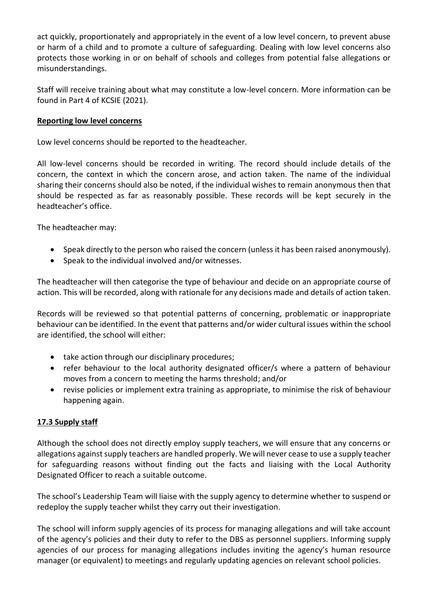act quickly, proportionately and appropriately in the event of a low level concern, to prevent abuse or harm of a child and to promote a culture of safeguarding. Dealing with low level concerns also protects those working in or on behalf of schools and colleges from potential false allegations or misunderstandings.

Staff will receive training about what may constitute a low-level concern. More information can be found in Part 4 of KCSIE (2021).

#### **Reporting low level concerns**

Low level concerns should be reported to the headteacher.

All low-level concerns should be recorded in writing. The record should include details of the concern, the context in which the concern arose, and action taken. The name of the individual sharing their concerns should also be noted, if the individual wishes to remain anonymous then that should be respected as far as reasonably possible. These records will be kept securely in the headteacher's office.

The headteacher may:

- Speak directly to the person who raised the concern (unless it has been raised anonymously).
- Speak to the individual involved and/or witnesses.

The headteacher will then categorise the type of behaviour and decide on an appropriate course of action. This will be recorded, along with rationale for any decisions made and details of action taken.

Records will be reviewed so that potential patterns of concerning, problematic or inappropriate behaviour can be identified. In the event that patterns and/or wider cultural issues within the school are identified, the school will either:

- take action through our disciplinary procedures;
- refer behaviour to the local authority designated officer/s where a pattern of behaviour moves from a concern to meeting the harms threshold; and/or
- revise policies or implement extra training as appropriate, to minimise the risk of behaviour happening again.

#### **17.3 Supply staff**

Although the school does not directly employ supply teachers, we will ensure that any concerns or allegations against supply teachers are handled properly. We will never cease to use a supply teacher for safeguarding reasons without finding out the facts and liaising with the Local Authority Designated Officer to reach a suitable outcome.

The school's Leadership Team will liaise with the supply agency to determine whether to suspend or redeploy the supply teacher whilst they carry out their investigation.

The school will inform supply agencies of its process for managing allegations and will take account of the agency's policies and their duty to refer to the DBS as personnel suppliers. Informing supply agencies of our process for managing allegations includes inviting the agency's human resource manager (or equivalent) to meetings and regularly updating agencies on relevant school policies.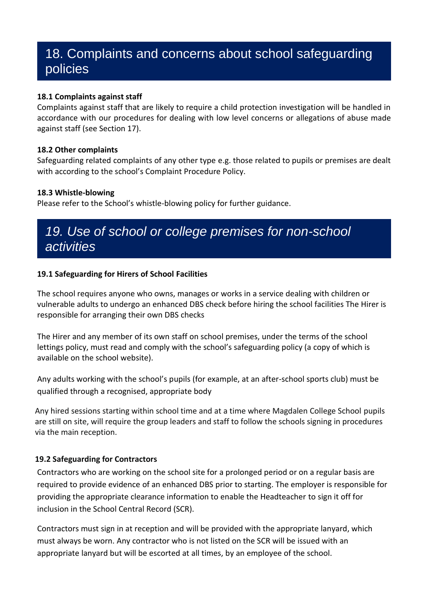# <span id="page-28-0"></span>18. Complaints and concerns about school safeguarding policies

#### **18.1 Complaints against staff**

Complaints against staff that are likely to require a child protection investigation will be handled in accordance with our procedures for dealing with low level concerns or allegations of abuse made against staff (see Section 17).

#### **18.2 Other complaints**

Safeguarding related complaints of any other type e.g. those related to pupils or premises are dealt with according to the school's Complaint Procedure Policy.

#### **18.3 Whistle-blowing**

Please refer to the School's whistle-blowing policy for further guidance.

# <span id="page-28-1"></span>*19. Use of school or college premises for non-school activities*

#### **19.1 Safeguarding for Hirers of School Facilities**

The school requires anyone who owns, manages or works in a service dealing with children or vulnerable adults to undergo an enhanced DBS check before hiring the school facilities The Hirer is responsible for arranging their own DBS checks

The Hirer and any member of its own staff on school premises, under the terms of the school lettings policy, must read and comply with the school's safeguarding policy (a copy of which is available on the school website).

Any adults working with the school's pupils (for example, at an after-school sports club) must be qualified through a recognised, appropriate body

Any hired sessions starting within school time and at a time where Magdalen College School pupils are still on site, will require the group leaders and staff to follow the schools signing in procedures via the main reception.

#### **19.2 Safeguarding for Contractors**

Contractors who are working on the school site for a prolonged period or on a regular basis are required to provide evidence of an enhanced DBS prior to starting. The employer is responsible for providing the appropriate clearance information to enable the Headteacher to sign it off for inclusion in the School Central Record (SCR).

Contractors must sign in at reception and will be provided with the appropriate lanyard, which must always be worn. Any contractor who is not listed on the SCR will be issued with an appropriate lanyard but will be escorted at all times, by an employee of the school.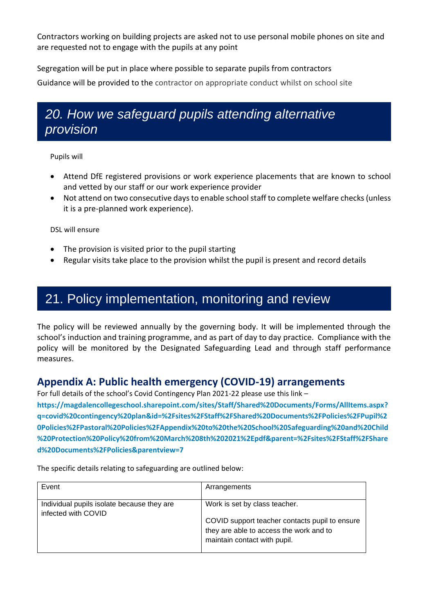Contractors working on building projects are asked not to use personal mobile phones on site and are requested not to engage with the pupils at any point

Segregation will be put in place where possible to separate pupils from contractors Guidance will be provided to the contractor on appropriate conduct whilst on school site

# <span id="page-29-0"></span>*20. How we safeguard pupils attending alternative provision*

Pupils will

- Attend DfE registered provisions or work experience placements that are known to school and vetted by our staff or our work experience provider
- Not attend on two consecutive days to enable school staff to complete welfare checks (unless it is a pre-planned work experience).

DSL will ensure

- The provision is visited prior to the pupil starting
- Regular visits take place to the provision whilst the pupil is present and record details

# <span id="page-29-1"></span>21. Policy implementation, monitoring and review

The policy will be reviewed annually by the governing body. It will be implemented through the school's induction and training programme, and as part of day to day practice. Compliance with the policy will be monitored by the Designated Safeguarding Lead and through staff performance measures.

# <span id="page-29-2"></span>**Appendix A: Public health emergency (COVID-19) arrangements**

For full details of the school's Covid Contingency Plan 2021-22 please use this link – **[https://magdalencollegeschool.sharepoint.com/sites/Staff/Shared%20Documents/Forms/AllItems.aspx?](https://magdalencollegeschool.sharepoint.com/sites/Staff/Shared%20Documents/Forms/AllItems.aspx?q=covid%20contingency%20plan&id=%2Fsites%2FStaff%2FShared%20Documents%2FPolicies%2FPupil%20Policies%2FPastoral%20Policies%2FAppendix%20to%20the%20School%20Safeguarding%20and%20Child%20Protection%20Policy%20from%20March%208th%202021%2Epdf&parent=%2Fsites%2FStaff%2FShared%20Documents%2FPolicies&parentview=7) [q=covid%20contingency%20plan&id=%2Fsites%2FStaff%2FShared%20Documents%2FPolicies%2FPupil%2](https://magdalencollegeschool.sharepoint.com/sites/Staff/Shared%20Documents/Forms/AllItems.aspx?q=covid%20contingency%20plan&id=%2Fsites%2FStaff%2FShared%20Documents%2FPolicies%2FPupil%20Policies%2FPastoral%20Policies%2FAppendix%20to%20the%20School%20Safeguarding%20and%20Child%20Protection%20Policy%20from%20March%208th%202021%2Epdf&parent=%2Fsites%2FStaff%2FShared%20Documents%2FPolicies&parentview=7) [0Policies%2FPastoral%20Policies%2FAppendix%20to%20the%20School%20Safeguarding%20and%20Child](https://magdalencollegeschool.sharepoint.com/sites/Staff/Shared%20Documents/Forms/AllItems.aspx?q=covid%20contingency%20plan&id=%2Fsites%2FStaff%2FShared%20Documents%2FPolicies%2FPupil%20Policies%2FPastoral%20Policies%2FAppendix%20to%20the%20School%20Safeguarding%20and%20Child%20Protection%20Policy%20from%20March%208th%202021%2Epdf&parent=%2Fsites%2FStaff%2FShared%20Documents%2FPolicies&parentview=7) [%20Protection%20Policy%20from%20March%208th%202021%2Epdf&parent=%2Fsites%2FStaff%2FShare](https://magdalencollegeschool.sharepoint.com/sites/Staff/Shared%20Documents/Forms/AllItems.aspx?q=covid%20contingency%20plan&id=%2Fsites%2FStaff%2FShared%20Documents%2FPolicies%2FPupil%20Policies%2FPastoral%20Policies%2FAppendix%20to%20the%20School%20Safeguarding%20and%20Child%20Protection%20Policy%20from%20March%208th%202021%2Epdf&parent=%2Fsites%2FStaff%2FShared%20Documents%2FPolicies&parentview=7) [d%20Documents%2FPolicies&parentview=7](https://magdalencollegeschool.sharepoint.com/sites/Staff/Shared%20Documents/Forms/AllItems.aspx?q=covid%20contingency%20plan&id=%2Fsites%2FStaff%2FShared%20Documents%2FPolicies%2FPupil%20Policies%2FPastoral%20Policies%2FAppendix%20to%20the%20School%20Safeguarding%20and%20Child%20Protection%20Policy%20from%20March%208th%202021%2Epdf&parent=%2Fsites%2FStaff%2FShared%20Documents%2FPolicies&parentview=7)**

| Event                                                             | Arrangements                                                                                                                                               |
|-------------------------------------------------------------------|------------------------------------------------------------------------------------------------------------------------------------------------------------|
| Individual pupils isolate because they are<br>infected with COVID | Work is set by class teacher.<br>COVID support teacher contacts pupil to ensure<br>they are able to access the work and to<br>maintain contact with pupil. |

The specific details relating to safeguarding are outlined below: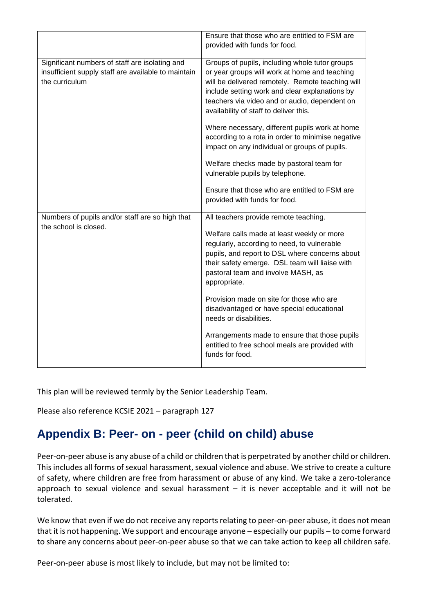|                                                                                                                         | Ensure that those who are entitled to FSM are<br>provided with funds for food.                                                                                                                                                                                                                   |
|-------------------------------------------------------------------------------------------------------------------------|--------------------------------------------------------------------------------------------------------------------------------------------------------------------------------------------------------------------------------------------------------------------------------------------------|
| Significant numbers of staff are isolating and<br>insufficient supply staff are available to maintain<br>the curriculum | Groups of pupils, including whole tutor groups<br>or year groups will work at home and teaching<br>will be delivered remotely. Remote teaching will<br>include setting work and clear explanations by<br>teachers via video and or audio, dependent on<br>availability of staff to deliver this. |
|                                                                                                                         | Where necessary, different pupils work at home<br>according to a rota in order to minimise negative<br>impact on any individual or groups of pupils.                                                                                                                                             |
|                                                                                                                         | Welfare checks made by pastoral team for<br>vulnerable pupils by telephone.                                                                                                                                                                                                                      |
|                                                                                                                         | Ensure that those who are entitled to FSM are<br>provided with funds for food.                                                                                                                                                                                                                   |
| Numbers of pupils and/or staff are so high that<br>the school is closed.                                                | All teachers provide remote teaching.<br>Welfare calls made at least weekly or more<br>regularly, according to need, to vulnerable<br>pupils, and report to DSL where concerns about<br>their safety emerge. DSL team will liaise with<br>pastoral team and involve MASH, as<br>appropriate.     |
|                                                                                                                         | Provision made on site for those who are<br>disadvantaged or have special educational<br>needs or disabilities.                                                                                                                                                                                  |
|                                                                                                                         | Arrangements made to ensure that those pupils<br>entitled to free school meals are provided with<br>funds for food.                                                                                                                                                                              |

This plan will be reviewed termly by the Senior Leadership Team.

Please also reference KCSIE 2021 – paragraph 127

# <span id="page-30-0"></span>**Appendix B: Peer- on - peer (child on child) abuse**

Peer-on-peer abuse is any abuse of a child or children that is perpetrated by another child or children. This includes all forms of sexual harassment, sexual violence and abuse. We strive to create a culture of safety, where children are free from harassment or abuse of any kind. We take a zero-tolerance approach to sexual violence and sexual harassment  $-$  it is never acceptable and it will not be tolerated.

We know that even if we do not receive any reports relating to peer-on-peer abuse, it does not mean that it is not happening. We support and encourage anyone – especially our pupils – to come forward to share any concerns about peer-on-peer abuse so that we can take action to keep all children safe.

Peer-on-peer abuse is most likely to include, but may not be limited to: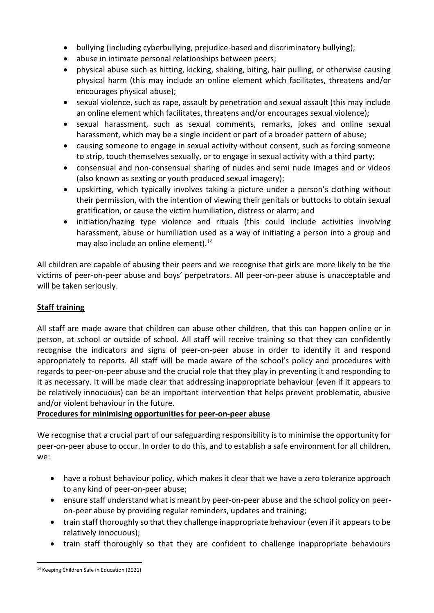- bullying (including cyberbullying, prejudice-based and discriminatory bullying);
- abuse in intimate personal relationships between peers;
- physical abuse such as hitting, kicking, shaking, biting, hair pulling, or otherwise causing physical harm (this may include an online element which facilitates, threatens and/or encourages physical abuse);
- sexual violence, such as rape, assault by penetration and sexual assault (this may include an online element which facilitates, threatens and/or encourages sexual violence);
- sexual harassment, such as sexual comments, remarks, jokes and online sexual harassment, which may be a single incident or part of a broader pattern of abuse;
- causing someone to engage in sexual activity without consent, such as forcing someone to strip, touch themselves sexually, or to engage in sexual activity with a third party;
- consensual and non-consensual sharing of nudes and semi nude images and or videos (also known as sexting or youth produced sexual imagery);
- upskirting, which typically involves taking a picture under a person's clothing without their permission, with the intention of viewing their genitals or buttocks to obtain sexual gratification, or cause the victim humiliation, distress or alarm; and
- initiation/hazing type violence and rituals (this could include activities involving harassment, abuse or humiliation used as a way of initiating a person into a group and may also include an online element).<sup>14</sup>

All children are capable of abusing their peers and we recognise that girls are more likely to be the victims of peer-on-peer abuse and boys' perpetrators. All peer-on-peer abuse is unacceptable and will be taken seriously.

#### **Staff training**

All staff are made aware that children can abuse other children, that this can happen online or in person, at school or outside of school. All staff will receive training so that they can confidently recognise the indicators and signs of peer-on-peer abuse in order to identify it and respond appropriately to reports. All staff will be made aware of the school's policy and procedures with regards to peer-on-peer abuse and the crucial role that they play in preventing it and responding to it as necessary. It will be made clear that addressing inappropriate behaviour (even if it appears to be relatively innocuous) can be an important intervention that helps prevent problematic, abusive and/or violent behaviour in the future.

#### **Procedures for minimising opportunities for peer-on-peer abuse**

We recognise that a crucial part of our safeguarding responsibility is to minimise the opportunity for peer-on-peer abuse to occur. In order to do this, and to establish a safe environment for all children, we:

- have a robust behaviour policy, which makes it clear that we have a zero tolerance approach to any kind of peer-on-peer abuse;
- ensure staff understand what is meant by peer-on-peer abuse and the school policy on peeron-peer abuse by providing regular reminders, updates and training;
- train staff thoroughly so that they challenge inappropriate behaviour (even if it appears to be relatively innocuous);
- train staff thoroughly so that they are confident to challenge inappropriate behaviours

<sup>&</sup>lt;sup>14</sup> Keeping Children Safe in Education (2021)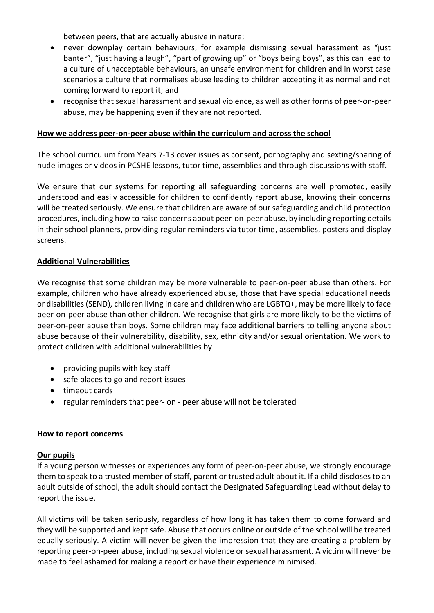between peers, that are actually abusive in nature;

- never downplay certain behaviours, for example dismissing sexual harassment as "just banter", "just having a laugh", "part of growing up" or "boys being boys", as this can lead to a culture of unacceptable behaviours, an unsafe environment for children and in worst case scenarios a culture that normalises abuse leading to children accepting it as normal and not coming forward to report it; and
- recognise that sexual harassment and sexual violence, as well as other forms of peer-on-peer abuse, may be happening even if they are not reported.

#### **How we address peer-on-peer abuse within the curriculum and across the school**

The school curriculum from Years 7-13 cover issues as consent, pornography and sexting/sharing of nude images or videos in PCSHE lessons, tutor time, assemblies and through discussions with staff.

We ensure that our systems for reporting all safeguarding concerns are well promoted, easily understood and easily accessible for children to confidently report abuse, knowing their concerns will be treated seriously. We ensure that children are aware of our safeguarding and child protection procedures, including how to raise concerns about peer-on-peer abuse, by including reporting details in their school planners, providing regular reminders via tutor time, assemblies, posters and display screens.

#### **Additional Vulnerabilities**

We recognise that some children may be more vulnerable to peer-on-peer abuse than others. For example, children who have already experienced abuse, those that have special educational needs or disabilities (SEND), children living in care and children who are LGBTQ+, may be more likely to face peer-on-peer abuse than other children. We recognise that girls are more likely to be the victims of peer-on-peer abuse than boys. Some children may face additional barriers to telling anyone about abuse because of their vulnerability, disability, sex, ethnicity and/or sexual orientation. We work to protect children with additional vulnerabilities by

- providing pupils with key staff
- safe places to go and report issues
- timeout cards
- regular reminders that peer- on peer abuse will not be tolerated

#### **How to report concerns**

#### **Our pupils**

If a young person witnesses or experiences any form of peer-on-peer abuse, we strongly encourage them to speak to a trusted member of staff, parent or trusted adult about it. If a child discloses to an adult outside of school, the adult should contact the Designated Safeguarding Lead without delay to report the issue.

All victims will be taken seriously, regardless of how long it has taken them to come forward and they will be supported and kept safe. Abuse that occurs online or outside of the school will be treated equally seriously. A victim will never be given the impression that they are creating a problem by reporting peer-on-peer abuse, including sexual violence or sexual harassment. A victim will never be made to feel ashamed for making a report or have their experience minimised.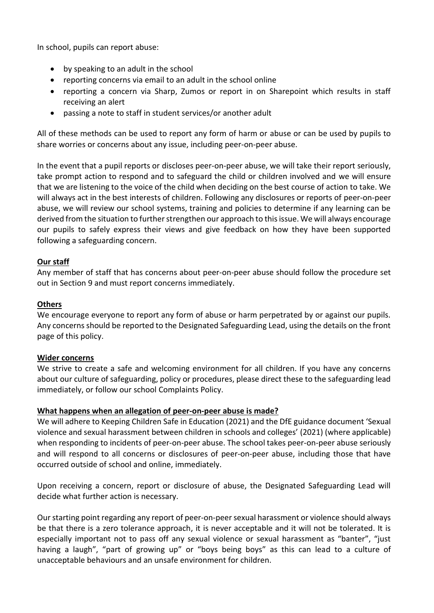In school, pupils can report abuse:

- by speaking to an adult in the school
- reporting concerns via email to an adult in the school online
- reporting a concern via Sharp, Zumos or report in on Sharepoint which results in staff receiving an alert
- passing a note to staff in student services/or another adult

All of these methods can be used to report any form of harm or abuse or can be used by pupils to share worries or concerns about any issue, including peer-on-peer abuse.

In the event that a pupil reports or discloses peer-on-peer abuse, we will take their report seriously, take prompt action to respond and to safeguard the child or children involved and we will ensure that we are listening to the voice of the child when deciding on the best course of action to take. We will always act in the best interests of children. Following any disclosures or reports of peer-on-peer abuse, we will review our school systems, training and policies to determine if any learning can be derived from the situation to further strengthen our approach to this issue. We will always encourage our pupils to safely express their views and give feedback on how they have been supported following a safeguarding concern.

#### **Our staff**

Any member of staff that has concerns about peer-on-peer abuse should follow the procedure set out in Section 9 and must report concerns immediately.

#### **Others**

We encourage everyone to report any form of abuse or harm perpetrated by or against our pupils. Any concerns should be reported to the Designated Safeguarding Lead, using the details on the front page of this policy.

#### **Wider concerns**

We strive to create a safe and welcoming environment for all children. If you have any concerns about our culture of safeguarding, policy or procedures, please direct these to the safeguarding lead immediately, or follow our school Complaints Policy.

#### **What happens when an allegation of peer-on-peer abuse is made?**

We will adhere to Keeping Children Safe in Education (2021) and the DfE guidance document 'Sexual violence and sexual harassment between children in schools and colleges' (2021) (where applicable) when responding to incidents of peer-on-peer abuse. The school takes peer-on-peer abuse seriously and will respond to all concerns or disclosures of peer-on-peer abuse, including those that have occurred outside of school and online, immediately.

Upon receiving a concern, report or disclosure of abuse, the Designated Safeguarding Lead will decide what further action is necessary.

Our starting point regarding any report of peer-on-peersexual harassment or violence should always be that there is a zero tolerance approach, it is never acceptable and it will not be tolerated. It is especially important not to pass off any sexual violence or sexual harassment as "banter", "just having a laugh", "part of growing up" or "boys being boys" as this can lead to a culture of unacceptable behaviours and an unsafe environment for children.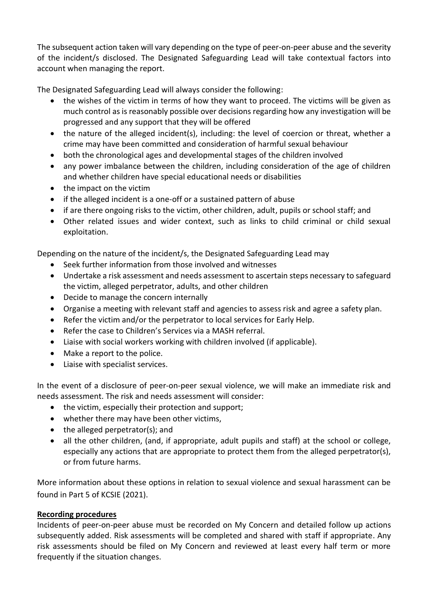The subsequent action taken will vary depending on the type of peer-on-peer abuse and the severity of the incident/s disclosed. The Designated Safeguarding Lead will take contextual factors into account when managing the report.

The Designated Safeguarding Lead will always consider the following:

- the wishes of the victim in terms of how they want to proceed. The victims will be given as much control as is reasonably possible over decisions regarding how any investigation will be progressed and any support that they will be offered
- the nature of the alleged incident(s), including: the level of coercion or threat, whether a crime may have been committed and consideration of harmful sexual behaviour
- both the chronological ages and developmental stages of the children involved
- any power imbalance between the children, including consideration of the age of children and whether children have special educational needs or disabilities
- the impact on the victim
- if the alleged incident is a one-off or a sustained pattern of abuse
- if are there ongoing risks to the victim, other children, adult, pupils or school staff; and
- Other related issues and wider context, such as links to child criminal or child sexual exploitation.

Depending on the nature of the incident/s, the Designated Safeguarding Lead may

- Seek further information from those involved and witnesses
- Undertake a risk assessment and needs assessment to ascertain steps necessary to safeguard the victim, alleged perpetrator, adults, and other children
- Decide to manage the concern internally
- Organise a meeting with relevant staff and agencies to assess risk and agree a safety plan.
- Refer the victim and/or the perpetrator to local services for Early Help.
- Refer the case to Children's Services via a MASH referral.
- Liaise with social workers working with children involved (if applicable).
- Make a report to the police.
- Liaise with specialist services.

In the event of a disclosure of peer-on-peer sexual violence, we will make an immediate risk and needs assessment. The risk and needs assessment will consider:

- the victim, especially their protection and support;
- whether there may have been other victims,
- the alleged perpetrator(s); and
- all the other children, (and, if appropriate, adult pupils and staff) at the school or college, especially any actions that are appropriate to protect them from the alleged perpetrator(s), or from future harms.

More information about these options in relation to sexual violence and sexual harassment can be found in Part 5 of KCSIE (2021).

#### **Recording procedures**

Incidents of peer-on-peer abuse must be recorded on My Concern and detailed follow up actions subsequently added. Risk assessments will be completed and shared with staff if appropriate. Any risk assessments should be filed on My Concern and reviewed at least every half term or more frequently if the situation changes.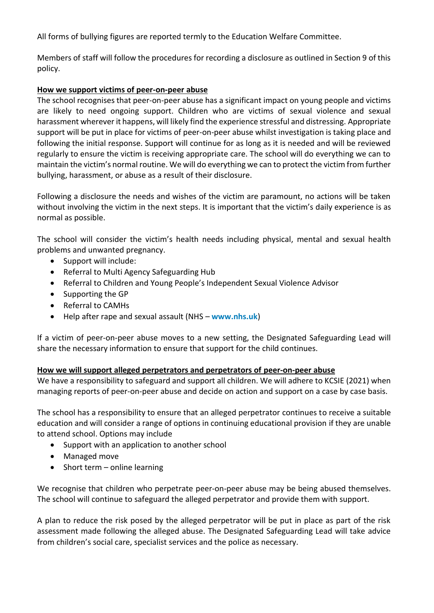All forms of bullying figures are reported termly to the Education Welfare Committee.

Members of staff will follow the procedures for recording a disclosure as outlined in Section 9 of this policy.

#### **How we support victims of peer-on-peer abuse**

The school recognises that peer-on-peer abuse has a significant impact on young people and victims are likely to need ongoing support. Children who are victims of sexual violence and sexual harassment wherever it happens, will likely find the experience stressful and distressing. Appropriate support will be put in place for victims of peer-on-peer abuse whilst investigation is taking place and following the initial response. Support will continue for as long as it is needed and will be reviewed regularly to ensure the victim is receiving appropriate care. The school will do everything we can to maintain the victim's normal routine. We will do everything we can to protect the victim from further bullying, harassment, or abuse as a result of their disclosure.

Following a disclosure the needs and wishes of the victim are paramount, no actions will be taken without involving the victim in the next steps. It is important that the victim's daily experience is as normal as possible.

The school will consider the victim's health needs including physical, mental and sexual health problems and unwanted pregnancy.

- Support will include:
- Referral to Multi Agency Safeguarding Hub
- Referral to Children and Young People's Independent Sexual Violence Advisor
- Supporting the GP
- Referral to CAMHs
- Help after rape and sexual assault (NHS **[www.nhs.uk](http://www.nhs.uk/)**)

If a victim of peer-on-peer abuse moves to a new setting, the Designated Safeguarding Lead will share the necessary information to ensure that support for the child continues.

## **How we will support alleged perpetrators and perpetrators of peer-on-peer abuse**

We have a responsibility to safeguard and support all children. We will adhere to KCSIE (2021) when managing reports of peer-on-peer abuse and decide on action and support on a case by case basis.

The school has a responsibility to ensure that an alleged perpetrator continues to receive a suitable education and will consider a range of options in continuing educational provision if they are unable to attend school. Options may include

- Support with an application to another school
- Managed move
- Short term online learning

We recognise that children who perpetrate peer-on-peer abuse may be being abused themselves. The school will continue to safeguard the alleged perpetrator and provide them with support.

A plan to reduce the risk posed by the alleged perpetrator will be put in place as part of the risk assessment made following the alleged abuse. The Designated Safeguarding Lead will take advice from children's social care, specialist services and the police as necessary.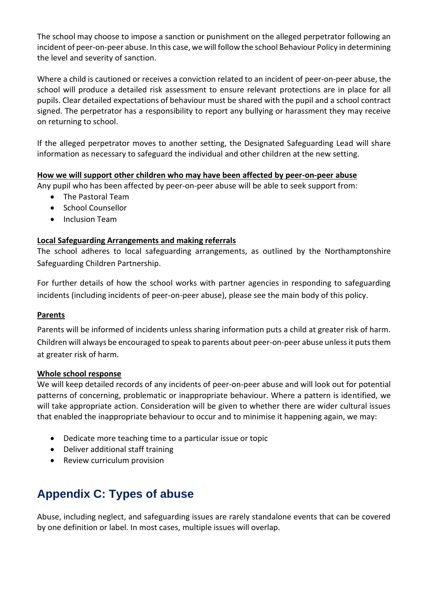The school may choose to impose a sanction or punishment on the alleged perpetrator following an incident of peer-on-peer abuse. In this case, we will follow the school Behaviour Policy in determining the level and severity of sanction.

Where a child is cautioned or receives a conviction related to an incident of peer-on-peer abuse, the school will produce a detailed risk assessment to ensure relevant protections are in place for all pupils. Clear detailed expectations of behaviour must be shared with the pupil and a school contract signed. The perpetrator has a responsibility to report any bullying or harassment they may receive on returning to school.

If the alleged perpetrator moves to another setting, the Designated Safeguarding Lead will share information as necessary to safeguard the individual and other children at the new setting.

### **How we will support other children who may have been affected by peer-on-peer abuse**

Any pupil who has been affected by peer-on-peer abuse will be able to seek support from:

- The Pastoral Team
- School Counsellor
- Inclusion Team

#### **Local Safeguarding Arrangements and making referrals**

The school adheres to local safeguarding arrangements, as outlined by the Northamptonshire Safeguarding Children Partnership.

For further details of how the school works with partner agencies in responding to safeguarding incidents (including incidents of peer-on-peer abuse), please see the main body of this policy.

#### **Parents**

Parents will be informed of incidents unless sharing information puts a child at greater risk of harm. Children will always be encouraged to speak to parents about peer-on-peer abuse unless it puts them at greater risk of harm.

#### **Whole school response**

We will keep detailed records of any incidents of peer-on-peer abuse and will look out for potential patterns of concerning, problematic or inappropriate behaviour. Where a pattern is identified, we will take appropriate action. Consideration will be given to whether there are wider cultural issues that enabled the inappropriate behaviour to occur and to minimise it happening again, we may:

- Dedicate more teaching time to a particular issue or topic
- Deliver additional staff training
- Review curriculum provision

# <span id="page-36-0"></span>**Appendix C: Types of abuse**

Abuse, including neglect, and safeguarding issues are rarely standalone events that can be covered by one definition or label. In most cases, multiple issues will overlap.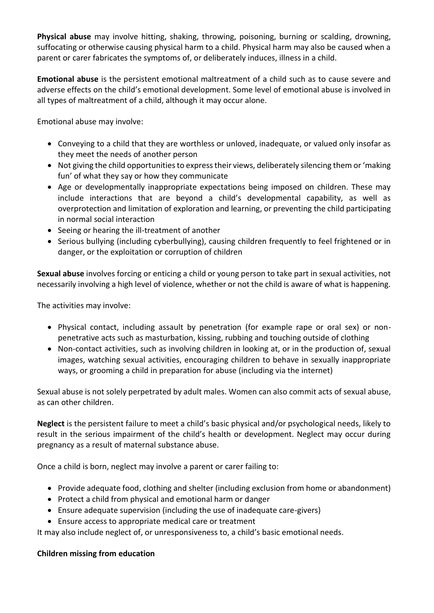**Physical abuse** may involve hitting, shaking, throwing, poisoning, burning or scalding, drowning, suffocating or otherwise causing physical harm to a child. Physical harm may also be caused when a parent or carer fabricates the symptoms of, or deliberately induces, illness in a child.

**Emotional abuse** is the persistent emotional maltreatment of a child such as to cause severe and adverse effects on the child's emotional development. Some level of emotional abuse is involved in all types of maltreatment of a child, although it may occur alone.

Emotional abuse may involve:

- Conveying to a child that they are worthless or unloved, inadequate, or valued only insofar as they meet the needs of another person
- Not giving the child opportunities to express their views, deliberately silencing them or 'making fun' of what they say or how they communicate
- Age or developmentally inappropriate expectations being imposed on children. These may include interactions that are beyond a child's developmental capability, as well as overprotection and limitation of exploration and learning, or preventing the child participating in normal social interaction
- Seeing or hearing the ill-treatment of another
- Serious bullying (including cyberbullying), causing children frequently to feel frightened or in danger, or the exploitation or corruption of children

**Sexual abuse** involves forcing or enticing a child or young person to take part in sexual activities, not necessarily involving a high level of violence, whether or not the child is aware of what is happening.

The activities may involve:

- Physical contact, including assault by penetration (for example rape or oral sex) or nonpenetrative acts such as masturbation, kissing, rubbing and touching outside of clothing
- Non-contact activities, such as involving children in looking at, or in the production of, sexual images, watching sexual activities, encouraging children to behave in sexually inappropriate ways, or grooming a child in preparation for abuse (including via the internet)

Sexual abuse is not solely perpetrated by adult males. Women can also commit acts of sexual abuse, as can other children.

**Neglect** is the persistent failure to meet a child's basic physical and/or psychological needs, likely to result in the serious impairment of the child's health or development. Neglect may occur during pregnancy as a result of maternal substance abuse.

Once a child is born, neglect may involve a parent or carer failing to:

- Provide adequate food, clothing and shelter (including exclusion from home or abandonment)
- Protect a child from physical and emotional harm or danger
- Ensure adequate supervision (including the use of inadequate care-givers)
- Ensure access to appropriate medical care or treatment

It may also include neglect of, or unresponsiveness to, a child's basic emotional needs.

#### **Children missing from education**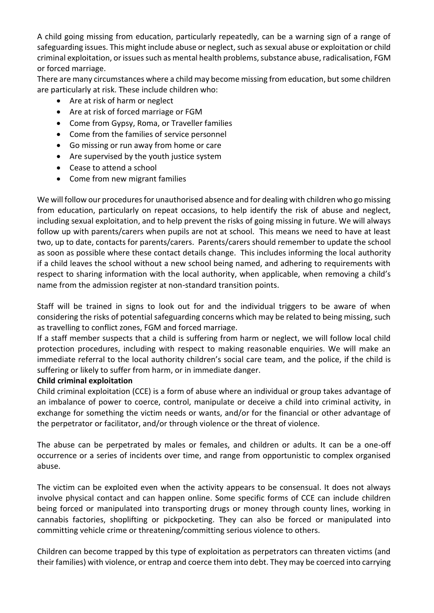A child going missing from education, particularly repeatedly, can be a warning sign of a range of safeguarding issues. This might include abuse or neglect, such as sexual abuse or exploitation or child criminal exploitation, or issues such as mental health problems, substance abuse, radicalisation, FGM or forced marriage.

There are many circumstances where a child may become missing from education, but some children are particularly at risk. These include children who:

- Are at risk of harm or neglect
- Are at risk of forced marriage or FGM
- Come from Gypsy, Roma, or Traveller families
- Come from the families of service personnel
- Go missing or run away from home or care
- Are supervised by the youth justice system
- Cease to attend a school
- Come from new migrant families

We will follow our procedures for unauthorised absence and for dealing with children who go missing from education, particularly on repeat occasions, to help identify the risk of abuse and neglect, including sexual exploitation, and to help prevent the risks of going missing in future. We will always follow up with parents/carers when pupils are not at school. This means we need to have at least two, up to date, contacts for parents/carers. Parents/carers should remember to update the school as soon as possible where these contact details change. This includes informing the local authority if a child leaves the school without a new school being named, and adhering to requirements with respect to sharing information with the local authority, when applicable, when removing a child's name from the admission register at non-standard transition points.

Staff will be trained in signs to look out for and the individual triggers to be aware of when considering the risks of potential safeguarding concerns which may be related to being missing, such as travelling to conflict zones, FGM and forced marriage.

If a staff member suspects that a child is suffering from harm or neglect, we will follow local child protection procedures, including with respect to making reasonable enquiries. We will make an immediate referral to the local authority children's social care team, and the police, if the child is suffering or likely to suffer from harm, or in immediate danger.

#### **Child criminal exploitation**

Child criminal exploitation (CCE) is a form of abuse where an individual or group takes advantage of an imbalance of power to coerce, control, manipulate or deceive a child into criminal activity, in exchange for something the victim needs or wants, and/or for the financial or other advantage of the perpetrator or facilitator, and/or through violence or the threat of violence.

The abuse can be perpetrated by males or females, and children or adults. It can be a one-off occurrence or a series of incidents over time, and range from opportunistic to complex organised abuse.

The victim can be exploited even when the activity appears to be consensual. It does not always involve physical contact and can happen online. Some specific forms of CCE can include children being forced or manipulated into transporting drugs or money through county lines, working in cannabis factories, shoplifting or pickpocketing. They can also be forced or manipulated into committing vehicle crime or threatening/committing serious violence to others.

Children can become trapped by this type of exploitation as perpetrators can threaten victims (and their families) with violence, or entrap and coerce them into debt. They may be coerced into carrying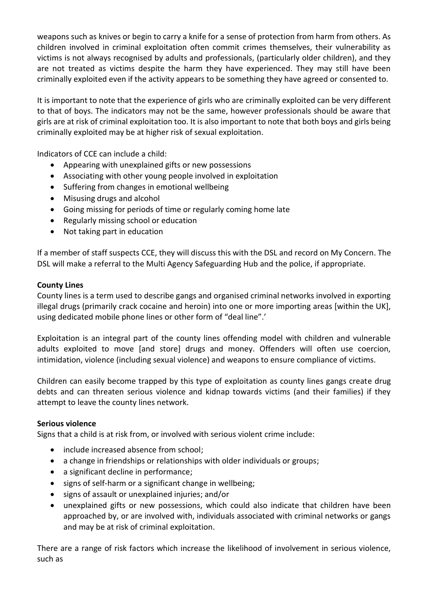weapons such as knives or begin to carry a knife for a sense of protection from harm from others. As children involved in criminal exploitation often commit crimes themselves, their vulnerability as victims is not always recognised by adults and professionals, (particularly older children), and they are not treated as victims despite the harm they have experienced. They may still have been criminally exploited even if the activity appears to be something they have agreed or consented to.

It is important to note that the experience of girls who are criminally exploited can be very different to that of boys. The indicators may not be the same, however professionals should be aware that girls are at risk of criminal exploitation too. It is also important to note that both boys and girls being criminally exploited may be at higher risk of sexual exploitation.

Indicators of CCE can include a child:

- Appearing with unexplained gifts or new possessions
- Associating with other young people involved in exploitation
- Suffering from changes in emotional wellbeing
- Misusing drugs and alcohol
- Going missing for periods of time or regularly coming home late
- Regularly missing school or education
- Not taking part in education

If a member of staff suspects CCE, they will discuss this with the DSL and record on My Concern. The DSL will make a referral to the Multi Agency Safeguarding Hub and the police, if appropriate.

#### **County Lines**

County lines is a term used to describe gangs and organised criminal networks involved in exporting illegal drugs (primarily crack cocaine and heroin) into one or more importing areas [within the UK], using dedicated mobile phone lines or other form of "deal line".'

Exploitation is an integral part of the county lines offending model with children and vulnerable adults exploited to move [and store] drugs and money. Offenders will often use coercion, intimidation, violence (including sexual violence) and weapons to ensure compliance of victims.

Children can easily become trapped by this type of exploitation as county lines gangs create drug debts and can threaten serious violence and kidnap towards victims (and their families) if they attempt to leave the county lines network.

#### **Serious violence**

Signs that a child is at risk from, or involved with serious violent crime include:

- include increased absence from school;
- a change in friendships or relationships with older individuals or groups;
- a significant decline in performance;
- signs of self-harm or a significant change in wellbeing;
- signs of assault or unexplained injuries; and/or
- unexplained gifts or new possessions, which could also indicate that children have been approached by, or are involved with, individuals associated with criminal networks or gangs and may be at risk of criminal exploitation.

There are a range of risk factors which increase the likelihood of involvement in serious violence, such as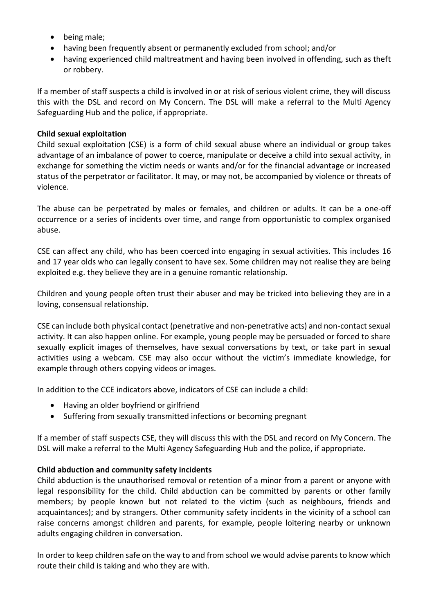- being male;
- having been frequently absent or permanently excluded from school; and/or
- having experienced child maltreatment and having been involved in offending, such as theft or robbery.

If a member of staff suspects a child is involved in or at risk of serious violent crime, they will discuss this with the DSL and record on My Concern. The DSL will make a referral to the Multi Agency Safeguarding Hub and the police, if appropriate.

### **Child sexual exploitation**

Child sexual exploitation (CSE) is a form of child sexual abuse where an individual or group takes advantage of an imbalance of power to coerce, manipulate or deceive a child into sexual activity, in exchange for something the victim needs or wants and/or for the financial advantage or increased status of the perpetrator or facilitator. It may, or may not, be accompanied by violence or threats of violence.

The abuse can be perpetrated by males or females, and children or adults. It can be a one-off occurrence or a series of incidents over time, and range from opportunistic to complex organised abuse.

CSE can affect any child, who has been coerced into engaging in sexual activities. This includes 16 and 17 year olds who can legally consent to have sex. Some children may not realise they are being exploited e.g. they believe they are in a genuine romantic relationship.

Children and young people often trust their abuser and may be tricked into believing they are in a loving, consensual relationship.

CSE can include both physical contact (penetrative and non-penetrative acts) and non-contact sexual activity. It can also happen online. For example, young people may be persuaded or forced to share sexually explicit images of themselves, have sexual conversations by text, or take part in sexual activities using a webcam. CSE may also occur without the victim's immediate knowledge, for example through others copying videos or images.

In addition to the CCE indicators above, indicators of CSE can include a child:

- Having an older boyfriend or girlfriend
- Suffering from sexually transmitted infections or becoming pregnant

If a member of staff suspects CSE, they will discuss this with the DSL and record on My Concern. The DSL will make a referral to the Multi Agency Safeguarding Hub and the police, if appropriate.

## **Child abduction and community safety incidents**

Child abduction is the unauthorised removal or retention of a minor from a parent or anyone with legal responsibility for the child. Child abduction can be committed by parents or other family members; by people known but not related to the victim (such as neighbours, friends and acquaintances); and by strangers. Other community safety incidents in the vicinity of a school can raise concerns amongst children and parents, for example, people loitering nearby or unknown adults engaging children in conversation.

In order to keep children safe on the way to and from school we would advise parents to know which route their child is taking and who they are with.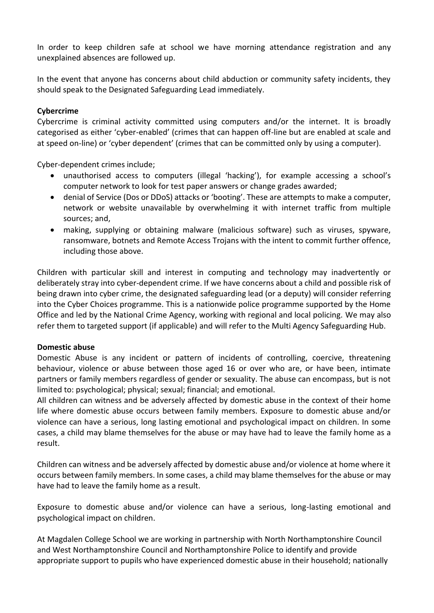In order to keep children safe at school we have morning attendance registration and any unexplained absences are followed up.

In the event that anyone has concerns about child abduction or community safety incidents, they should speak to the Designated Safeguarding Lead immediately.

#### **Cybercrime**

Cybercrime is criminal activity committed using computers and/or the internet. It is broadly categorised as either 'cyber-enabled' (crimes that can happen off-line but are enabled at scale and at speed on-line) or 'cyber dependent' (crimes that can be committed only by using a computer).

Cyber-dependent crimes include;

- unauthorised access to computers (illegal 'hacking'), for example accessing a school's computer network to look for test paper answers or change grades awarded;
- denial of Service (Dos or DDoS) attacks or 'booting'. These are attempts to make a computer, network or website unavailable by overwhelming it with internet traffic from multiple sources; and,
- making, supplying or obtaining malware (malicious software) such as viruses, spyware, ransomware, botnets and Remote Access Trojans with the intent to commit further offence, including those above.

Children with particular skill and interest in computing and technology may inadvertently or deliberately stray into cyber-dependent crime. If we have concerns about a child and possible risk of being drawn into cyber crime, the designated safeguarding lead (or a deputy) will consider referring into the Cyber Choices programme. This is a nationwide police programme supported by the Home Office and led by the National Crime Agency, working with regional and local policing. We may also refer them to targeted support (if applicable) and will refer to the Multi Agency Safeguarding Hub.

#### **Domestic abuse**

Domestic Abuse is any incident or pattern of incidents of controlling, coercive, threatening behaviour, violence or abuse between those aged 16 or over who are, or have been, intimate partners or family members regardless of gender or sexuality. The abuse can encompass, but is not limited to: psychological; physical; sexual; financial; and emotional.

All children can witness and be adversely affected by domestic abuse in the context of their home life where domestic abuse occurs between family members. Exposure to domestic abuse and/or violence can have a serious, long lasting emotional and psychological impact on children. In some cases, a child may blame themselves for the abuse or may have had to leave the family home as a result.

Children can witness and be adversely affected by domestic abuse and/or violence at home where it occurs between family members. In some cases, a child may blame themselves for the abuse or may have had to leave the family home as a result.

Exposure to domestic abuse and/or violence can have a serious, long-lasting emotional and psychological impact on children.

At Magdalen College School we are working in partnership with North Northamptonshire Council and West Northamptonshire Council and Northamptonshire Police to identify and provide appropriate support to pupils who have experienced domestic abuse in their household; nationally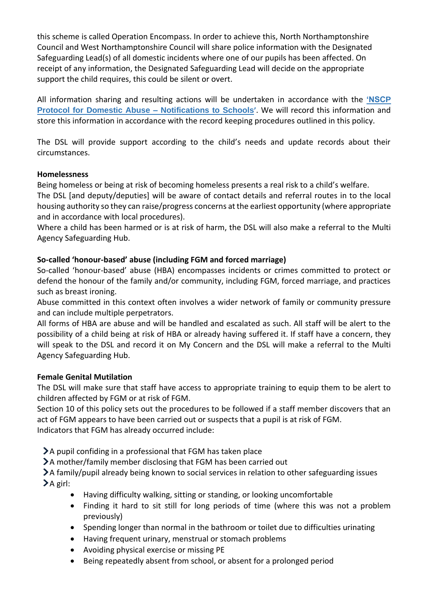this scheme is called Operation Encompass. In order to achieve this, North Northamptonshire Council and West Northamptonshire Council will share police information with the Designated Safeguarding Lead(s) of all domestic incidents where one of our pupils has been affected. On receipt of any information, the Designated Safeguarding Lead will decide on the appropriate support the child requires, this could be silent or overt.

All information sharing and resulting actions will be undertaken in accordance with the **['NSCP](https://www.nctrust.co.uk/help-and-protection-for-children/protecting-children-information-for-professionals/Pages/domestic-abuse-notification-to-schools.aspx) [Protocol for Domestic Abuse –](https://www.nctrust.co.uk/help-and-protection-for-children/protecting-children-information-for-professionals/Pages/domestic-abuse-notification-to-schools.aspx) Notifications to Schools'**. We will record this information and store this information in accordance with the record keeping procedures outlined in this policy.

The DSL will provide support according to the child's needs and update records about their circumstances.

#### **Homelessness**

Being homeless or being at risk of becoming homeless presents a real risk to a child's welfare.

The DSL [and deputy/deputies] will be aware of contact details and referral routes in to the local housing authority so they can raise/progress concerns at the earliest opportunity (where appropriate and in accordance with local procedures).

Where a child has been harmed or is at risk of harm, the DSL will also make a referral to the Multi Agency Safeguarding Hub.

#### **So-called 'honour-based' abuse (including FGM and forced marriage)**

So-called 'honour-based' abuse (HBA) encompasses incidents or crimes committed to protect or defend the honour of the family and/or community, including FGM, forced marriage, and practices such as breast ironing.

Abuse committed in this context often involves a wider network of family or community pressure and can include multiple perpetrators.

All forms of HBA are abuse and will be handled and escalated as such. All staff will be alert to the possibility of a child being at risk of HBA or already having suffered it. If staff have a concern, they will speak to the DSL and record it on My Concern and the DSL will make a referral to the Multi Agency Safeguarding Hub.

#### **Female Genital Mutilation**

The DSL will make sure that staff have access to appropriate training to equip them to be alert to children affected by FGM or at risk of FGM.

Section 10 of this policy sets out the procedures to be followed if a staff member discovers that an act of FGM appears to have been carried out or suspects that a pupil is at risk of FGM. Indicators that FGM has already occurred include:

- A pupil confiding in a professional that FGM has taken place
- A mother/family member disclosing that FGM has been carried out
- A family/pupil already being known to social services in relation to other safeguarding issues  $\sum A$  girl:
	- Having difficulty walking, sitting or standing, or looking uncomfortable
	- Finding it hard to sit still for long periods of time (where this was not a problem previously)
	- Spending longer than normal in the bathroom or toilet due to difficulties urinating
	- Having frequent urinary, menstrual or stomach problems
	- Avoiding physical exercise or missing PE
	- Being repeatedly absent from school, or absent for a prolonged period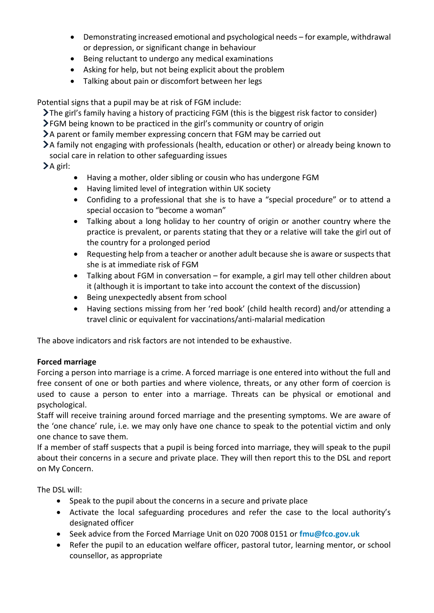- Demonstrating increased emotional and psychological needs for example, withdrawal or depression, or significant change in behaviour
- Being reluctant to undergo any medical examinations
- Asking for help, but not being explicit about the problem
- Talking about pain or discomfort between her legs

Potential signs that a pupil may be at risk of FGM include:

- The girl's family having a history of practicing FGM (this is the biggest risk factor to consider)
- **>FGM** being known to be practiced in the girl's community or country of origin
- A parent or family member expressing concern that FGM may be carried out
- A family not engaging with professionals (health, education or other) or already being known to social care in relation to other safeguarding issues
- $\sum A$  girl:
	- Having a mother, older sibling or cousin who has undergone FGM
	- Having limited level of integration within UK society
	- Confiding to a professional that she is to have a "special procedure" or to attend a special occasion to "become a woman"
	- Talking about a long holiday to her country of origin or another country where the practice is prevalent, or parents stating that they or a relative will take the girl out of the country for a prolonged period
	- Requesting help from a teacher or another adult because she is aware or suspects that she is at immediate risk of FGM
	- Talking about FGM in conversation for example, a girl may tell other children about it (although it is important to take into account the context of the discussion)
	- Being unexpectedly absent from school
	- Having sections missing from her 'red book' (child health record) and/or attending a travel clinic or equivalent for vaccinations/anti-malarial medication

The above indicators and risk factors are not intended to be exhaustive.

#### **Forced marriage**

Forcing a person into marriage is a crime. A forced marriage is one entered into without the full and free consent of one or both parties and where violence, threats, or any other form of coercion is used to cause a person to enter into a marriage. Threats can be physical or emotional and psychological.

Staff will receive training around forced marriage and the presenting symptoms. We are aware of the 'one chance' rule, i.e. we may only have one chance to speak to the potential victim and only one chance to save them.

If a member of staff suspects that a pupil is being forced into marriage, they will speak to the pupil about their concerns in a secure and private place. They will then report this to the DSL and report on My Concern.

The DSL will:

- Speak to the pupil about the concerns in a secure and private place
- Activate the local safeguarding procedures and refer the case to the local authority's designated officer
- Seek advice from the Forced Marriage Unit on 020 7008 0151 or **[fmu@fco.gov.uk](mailto:fmu@fco.gov.uk)**
- Refer the pupil to an education welfare officer, pastoral tutor, learning mentor, or school counsellor, as appropriate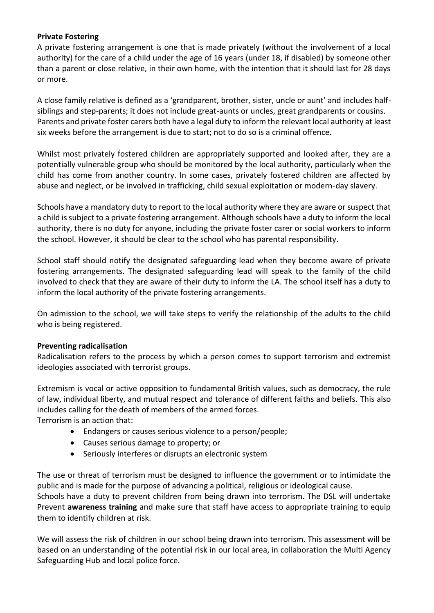#### **Private Fostering**

A private fostering arrangement is one that is made privately (without the involvement of a local authority) for the care of a child under the age of 16 years (under 18, if disabled) by someone other than a parent or close relative, in their own home, with the intention that it should last for 28 days or more.

A close family relative is defined as a 'grandparent, brother, sister, uncle or aunt' and includes halfsiblings and step-parents; it does not include great-aunts or uncles, great grandparents or cousins. Parents and private foster carers both have a legal duty to inform the relevant local authority at least six weeks before the arrangement is due to start; not to do so is a criminal offence.

Whilst most privately fostered children are appropriately supported and looked after, they are a potentially vulnerable group who should be monitored by the local authority, particularly when the child has come from another country. In some cases, privately fostered children are affected by abuse and neglect, or be involved in trafficking, child sexual exploitation or modern-day slavery.

Schools have a mandatory duty to report to the local authority where they are aware or suspect that a child is subject to a private fostering arrangement. Although schools have a duty to inform the local authority, there is no duty for anyone, including the private foster carer or social workers to inform the school. However, it should be clear to the school who has parental responsibility.

School staff should notify the designated safeguarding lead when they become aware of private fostering arrangements. The designated safeguarding lead will speak to the family of the child involved to check that they are aware of their duty to inform the LA. The school itself has a duty to inform the local authority of the private fostering arrangements.

On admission to the school, we will take steps to verify the relationship of the adults to the child who is being registered.

#### **Preventing radicalisation**

Radicalisation refers to the process by which a person comes to support terrorism and extremist ideologies associated with terrorist groups.

Extremism is vocal or active opposition to fundamental British values, such as democracy, the rule of law, individual liberty, and mutual respect and tolerance of different faiths and beliefs. This also includes calling for the death of members of the armed forces.

Terrorism is an action that:

- Endangers or causes serious violence to a person/people;
- Causes serious damage to property; or
- Seriously interferes or disrupts an electronic system

The use or threat of terrorism must be designed to influence the government or to intimidate the public and is made for the purpose of advancing a political, religious or ideological cause. Schools have a duty to prevent children from being drawn into terrorism. The DSL will undertake Prevent **awareness training** and make sure that staff have access to appropriate training to equip them to identify children at risk.

We will assess the risk of children in our school being drawn into terrorism. This assessment will be based on an understanding of the potential risk in our local area, in collaboration the Multi Agency Safeguarding Hub and local police force.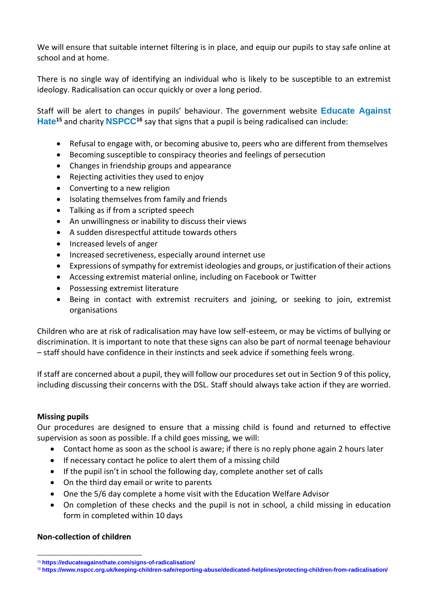We will ensure that suitable internet filtering is in place, and equip our pupils to stay safe online at school and at home.

There is no single way of identifying an individual who is likely to be susceptible to an extremist ideology. Radicalisation can occur quickly or over a long period.

Staff will be alert to changes in pupils' behaviour. The government website **[Educate Against](http://educateagainsthate.com/parents/what-are-the-warning-signs/)  [Hate](http://educateagainsthate.com/parents/what-are-the-warning-signs/)<sup>15</sup>** and charity **[NSPCC](https://www.nspcc.org.uk/what-you-can-do/report-abuse/dedicated-helplines/protecting-children-from-radicalisation/)<sup>16</sup>** say that signs that a pupil is being radicalised can include:

- Refusal to engage with, or becoming abusive to, peers who are different from themselves
- Becoming susceptible to conspiracy theories and feelings of persecution
- Changes in friendship groups and appearance
- Rejecting activities they used to enjoy
- Converting to a new religion
- Isolating themselves from family and friends
- Talking as if from a scripted speech
- An unwillingness or inability to discuss their views
- A sudden disrespectful attitude towards others
- Increased levels of anger
- Increased secretiveness, especially around internet use
- Expressions of sympathy for extremist ideologies and groups, or justification of their actions
- Accessing extremist material online, including on Facebook or Twitter
- Possessing extremist literature
- Being in contact with extremist recruiters and joining, or seeking to join, extremist organisations

Children who are at risk of radicalisation may have low self-esteem, or may be victims of bullying or discrimination. It is important to note that these signs can also be part of normal teenage behaviour – staff should have confidence in their instincts and seek advice if something feels wrong.

If staff are concerned about a pupil, they will follow our procedures set out in Section 9 of this policy, including discussing their concerns with the DSL. Staff should always take action if they are worried.

#### **Missing pupils**

Our procedures are designed to ensure that a missing child is found and returned to effective supervision as soon as possible. If a child goes missing, we will:

- Contact home as soon as the school is aware; if there is no reply phone again 2 hours later
- If necessary contact he police to alert them of a missing child
- If the pupil isn't in school the following day, complete another set of calls
- On the third day email or write to parents
- One the 5/6 day complete a home visit with the Education Welfare Advisor
- On completion of these checks and the pupil is not in school, a child missing in education form in completed within 10 days

#### **Non-collection of children**

<sup>15</sup> **<https://educateagainsthate.com/signs-of-radicalisation/>**

<sup>16</sup> **<https://www.nspcc.org.uk/keeping-children-safe/reporting-abuse/dedicated-helplines/protecting-children-from-radicalisation/>**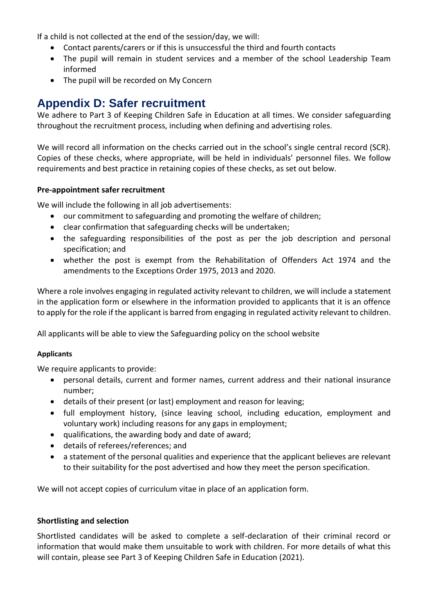If a child is not collected at the end of the session/day, we will:

- Contact parents/carers or if this is unsuccessful the third and fourth contacts
- The pupil will remain in student services and a member of the school Leadership Team informed
- The pupil will be recorded on My Concern

# <span id="page-46-0"></span>**Appendix D: Safer recruitment**

We adhere to Part 3 of Keeping Children Safe in Education at all times. We consider safeguarding throughout the recruitment process, including when defining and advertising roles.

We will record all information on the checks carried out in the school's single central record (SCR). Copies of these checks, where appropriate, will be held in individuals' personnel files. We follow requirements and best practice in retaining copies of these checks, as set out below.

### **Pre-appointment safer recruitment**

We will include the following in all job advertisements:

- our commitment to safeguarding and promoting the welfare of children;
- clear confirmation that safeguarding checks will be undertaken;
- the safeguarding responsibilities of the post as per the job description and personal specification; and
- whether the post is exempt from the Rehabilitation of Offenders Act 1974 and the amendments to the Exceptions Order 1975, 2013 and 2020.

Where a role involves engaging in regulated activity relevant to children, we will include a statement in the application form or elsewhere in the information provided to applicants that it is an offence to apply for the role if the applicant is barred from engaging in regulated activity relevant to children.

All applicants will be able to view the Safeguarding policy on the school website

#### **Applicants**

We require applicants to provide:

- personal details, current and former names, current address and their national insurance number;
- details of their present (or last) employment and reason for leaving;
- full employment history, (since leaving school, including education, employment and voluntary work) including reasons for any gaps in employment;
- qualifications, the awarding body and date of award;
- details of referees/references; and
- a statement of the personal qualities and experience that the applicant believes are relevant to their suitability for the post advertised and how they meet the person specification.

We will not accept copies of curriculum vitae in place of an application form.

#### **Shortlisting and selection**

Shortlisted candidates will be asked to complete a self-declaration of their criminal record or information that would make them unsuitable to work with children. For more details of what this will contain, please see Part 3 of Keeping Children Safe in Education (2021).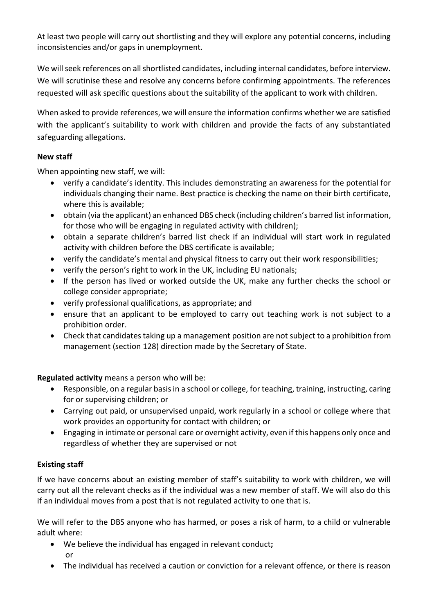At least two people will carry out shortlisting and they will explore any potential concerns, including inconsistencies and/or gaps in unemployment.

We will seek references on all shortlisted candidates, including internal candidates, before interview. We will scrutinise these and resolve any concerns before confirming appointments. The references requested will ask specific questions about the suitability of the applicant to work with children.

When asked to provide references, we will ensure the information confirms whether we are satisfied with the applicant's suitability to work with children and provide the facts of any substantiated safeguarding allegations.

### **New staff**

When appointing new staff, we will:

- verify a candidate's identity. This includes demonstrating an awareness for the potential for individuals changing their name. Best practice is checking the name on their birth certificate, where this is available;
- obtain (via the applicant) an enhanced DBS check (including children's barred list information, for those who will be engaging in regulated activity with children);
- obtain a separate children's barred list check if an individual will start work in regulated activity with children before the DBS certificate is available;
- verify the candidate's mental and physical fitness to carry out their work responsibilities;
- verify the person's right to work in the UK, including EU nationals;
- If the person has lived or worked outside the UK, make any further checks the school or college consider appropriate;
- verify professional qualifications, as appropriate; and
- ensure that an applicant to be employed to carry out teaching work is not subject to a prohibition order.
- Check that candidates taking up a management position are not subject to a prohibition from management (section 128) direction made by the Secretary of State.

**Regulated activity** means a person who will be:

- Responsible, on a regular basis in a school or college, for teaching, training, instructing, caring for or supervising children; or
- Carrying out paid, or unsupervised unpaid, work regularly in a school or college where that work provides an opportunity for contact with children; or
- Engaging in intimate or personal care or overnight activity, even if this happens only once and regardless of whether they are supervised or not

## **Existing staff**

If we have concerns about an existing member of staff's suitability to work with children, we will carry out all the relevant checks as if the individual was a new member of staff. We will also do this if an individual moves from a post that is not regulated activity to one that is.

We will refer to the DBS anyone who has harmed, or poses a risk of harm, to a child or vulnerable adult where:

- We believe the individual has engaged in [relevant conduct](https://www.gov.uk/guidance/making-barring-referrals-to-the-dbs#relevant-conduct-in-relation-to-children)**;** or
- The individual has received a caution or conviction for a relevant offence, or there is reason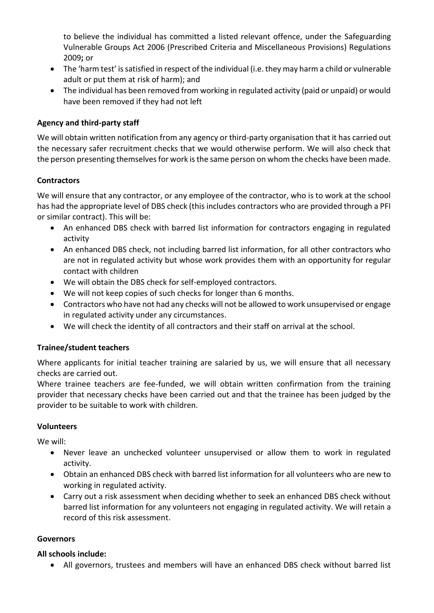to believe the individual has committed a listed relevant offence, under the [Safeguarding](http://www.legislation.gov.uk/uksi/2009/37/contents/made)  [Vulnerable Groups Act 2006 \(Prescribed Criteria and Miscellaneous Provisions\) Regulations](http://www.legislation.gov.uk/uksi/2009/37/contents/made)  [2009](http://www.legislation.gov.uk/uksi/2009/37/contents/made)**;** or

- The 'harm test' is satisfied in respect of the individual (i.e. they may harm a child or vulnerable adult or put them at risk of harm); and
- The individual has been removed from working in regulated activity (paid or unpaid) or would have been removed if they had not left

### **Agency and third-party staff**

We will obtain written notification from any agency or third-party organisation that it has carried out the necessary safer recruitment checks that we would otherwise perform. We will also check that the person presenting themselves for work is the same person on whom the checks have been made.

### **Contractors**

We will ensure that any contractor, or any employee of the contractor, who is to work at the school has had the appropriate level of DBS check (this includes contractors who are provided through a PFI or similar contract). This will be:

- An enhanced DBS check with barred list information for contractors engaging in regulated activity
- An enhanced DBS check, not including barred list information, for all other contractors who are not in regulated activity but whose work provides them with an opportunity for regular contact with children
- We will obtain the DBS check for self-employed contractors.
- We will not keep copies of such checks for longer than 6 months.
- Contractors who have not had any checks will not be allowed to work unsupervised or engage in regulated activity under any circumstances.
- We will check the identity of all contractors and their staff on arrival at the school.

## **Trainee/student teachers**

Where applicants for initial teacher training are salaried by us, we will ensure that all necessary checks are carried out.

Where trainee teachers are fee-funded, we will obtain written confirmation from the training provider that necessary checks have been carried out and that the trainee has been judged by the provider to be suitable to work with children.

#### **Volunteers**

We will:

- Never leave an unchecked volunteer unsupervised or allow them to work in regulated activity.
- Obtain an enhanced DBS check with barred list information for all volunteers who are new to working in regulated activity.
- Carry out a risk assessment when deciding whether to seek an enhanced DBS check without barred list information for any volunteers not engaging in regulated activity. We will retain a record of this risk assessment.

#### **Governors**

#### **All schools include:**

• All governors, trustees and members will have an enhanced DBS check without barred list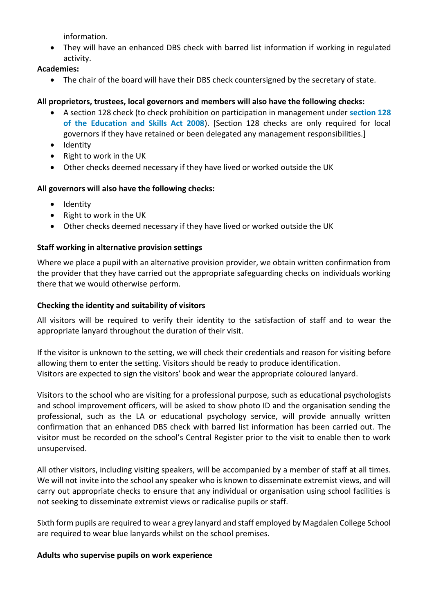information.

• They will have an enhanced DBS check with barred list information if working in regulated activity.

# **Academies:**

• The chair of the board will have their DBS check countersigned by the secretary of state.

### **All proprietors, trustees, local governors and members will also have the following checks:**

- A section 128 check (to check prohibition on participation in management under **[section 128](https://www.legislation.gov.uk/ukpga/2008/25/section/128)  [of the Education and Skills Act 2008](https://www.legislation.gov.uk/ukpga/2008/25/section/128)**). [Section 128 checks are only required for local governors if they have retained or been delegated any management responsibilities.]
- Identity
- Right to work in the UK
- Other checks deemed necessary if they have lived or worked outside the UK

## **All governors will also have the following checks:**

- Identity
- Right to work in the UK
- Other checks deemed necessary if they have lived or worked outside the UK

# **Staff working in alternative provision settings**

Where we place a pupil with an alternative provision provider, we obtain written confirmation from the provider that they have carried out the appropriate safeguarding checks on individuals working there that we would otherwise perform.

### **Checking the identity and suitability of visitors**

All visitors will be required to verify their identity to the satisfaction of staff and to wear the appropriate lanyard throughout the duration of their visit.

If the visitor is unknown to the setting, we will check their credentials and reason for visiting before allowing them to enter the setting. Visitors should be ready to produce identification. Visitors are expected to sign the visitors' book and wear the appropriate coloured lanyard.

Visitors to the school who are visiting for a professional purpose, such as educational psychologists and school improvement officers, will be asked to show photo ID and the organisation sending the professional, such as the LA or educational psychology service, will provide annually written confirmation that an enhanced DBS check with barred list information has been carried out. The visitor must be recorded on the school's Central Register prior to the visit to enable then to work unsupervised.

All other visitors, including visiting speakers, will be accompanied by a member of staff at all times. We will not invite into the school any speaker who is known to disseminate extremist views, and will carry out appropriate checks to ensure that any individual or organisation using school facilities is not seeking to disseminate extremist views or radicalise pupils or staff.

Sixth form pupils are required to wear a grey lanyard and staff employed by Magdalen College School are required to wear blue lanyards whilst on the school premises.

#### **Adults who supervise pupils on work experience**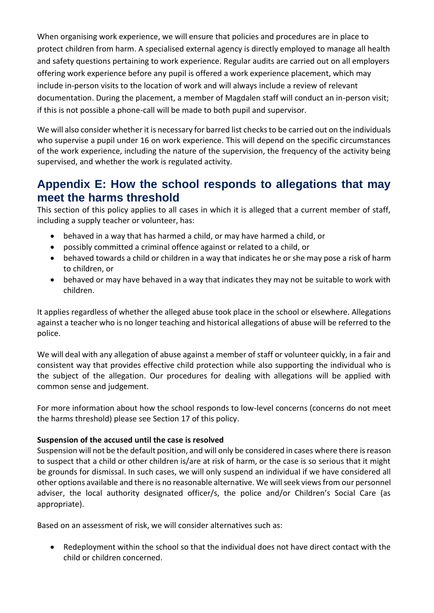When organising work experience, we will ensure that policies and procedures are in place to protect children from harm. A specialised external agency is directly employed to manage all health and safety questions pertaining to work experience. Regular audits are carried out on all employers offering work experience before any pupil is offered a work experience placement, which may include in-person visits to the location of work and will always include a review of relevant documentation. During the placement, a member of Magdalen staff will conduct an in-person visit; if this is not possible a phone-call will be made to both pupil and supervisor.

We will also consider whether it is necessary for barred list checks to be carried out on the individuals who supervise a pupil under 16 on work experience. This will depend on the specific circumstances of the work experience, including the nature of the supervision, the frequency of the activity being supervised, and whether the work is regulated activity.

# **Appendix E: How the school responds to allegations that may meet the harms threshold**

This section of this policy applies to all cases in which it is alleged that a current member of staff, including a supply teacher or volunteer, has:

- behaved in a way that has harmed a child, or may have harmed a child, or
- possibly committed a criminal offence against or related to a child, or
- behaved towards a child or children in a way that indicates he or she may pose a risk of harm to children, or
- behaved or may have behaved in a way that indicates they may not be suitable to work with children.

It applies regardless of whether the alleged abuse took place in the school or elsewhere. Allegations against a teacher who is no longer teaching and historical allegations of abuse will be referred to the police.

We will deal with any allegation of abuse against a member of staff or volunteer quickly, in a fair and consistent way that provides effective child protection while also supporting the individual who is the subject of the allegation. Our procedures for dealing with allegations will be applied with common sense and judgement.

For more information about how the school responds to low-level concerns (concerns do not meet the harms threshold) please see Section 17 of this policy.

#### **Suspension of the accused until the case is resolved**

Suspension will not be the default position, and will only be considered in cases where there is reason to suspect that a child or other children is/are at risk of harm, or the case is so serious that it might be grounds for dismissal. In such cases, we will only suspend an individual if we have considered all other options available and there is no reasonable alternative. We will seek views from our personnel adviser, the local authority designated officer/s, the police and/or Children's Social Care (as appropriate).

Based on an assessment of risk, we will consider alternatives such as:

• Redeployment within the school so that the individual does not have direct contact with the child or children concerned.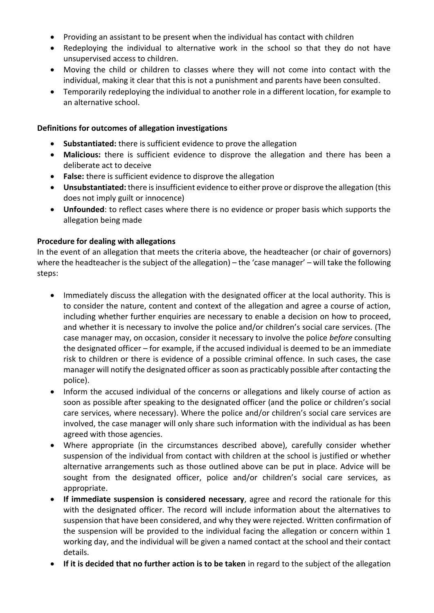- Providing an assistant to be present when the individual has contact with children
- Redeploying the individual to alternative work in the school so that they do not have unsupervised access to children.
- Moving the child or children to classes where they will not come into contact with the individual, making it clear that this is not a punishment and parents have been consulted.
- Temporarily redeploying the individual to another role in a different location, for example to an alternative school.

#### **Definitions for outcomes of allegation investigations**

- **Substantiated:** there is sufficient evidence to prove the allegation
- **Malicious:** there is sufficient evidence to disprove the allegation and there has been a deliberate act to deceive
- **False:** there is sufficient evidence to disprove the allegation
- **Unsubstantiated:** there is insufficient evidence to either prove or disprove the allegation (this does not imply guilt or innocence)
- **Unfounded**: to reflect cases where there is no evidence or proper basis which supports the allegation being made

#### **Procedure for dealing with allegations**

In the event of an allegation that meets the criteria above, the headteacher (or chair of governors) where the headteacher is the subject of the allegation) – the 'case manager' – will take the following steps:

- Immediately discuss the allegation with the designated officer at the local authority. This is to consider the nature, content and context of the allegation and agree a course of action, including whether further enquiries are necessary to enable a decision on how to proceed, and whether it is necessary to involve the police and/or children's social care services. (The case manager may, on occasion, consider it necessary to involve the police *before* consulting the designated officer – for example, if the accused individual is deemed to be an immediate risk to children or there is evidence of a possible criminal offence. In such cases, the case manager will notify the designated officer as soon as practicably possible after contacting the police).
- Inform the accused individual of the concerns or allegations and likely course of action as soon as possible after speaking to the designated officer (and the police or children's social care services, where necessary). Where the police and/or children's social care services are involved, the case manager will only share such information with the individual as has been agreed with those agencies.
- Where appropriate (in the circumstances described above), carefully consider whether suspension of the individual from contact with children at the school is justified or whether alternative arrangements such as those outlined above can be put in place. Advice will be sought from the designated officer, police and/or children's social care services, as appropriate.
- **If immediate suspension is considered necessary**, agree and record the rationale for this with the designated officer. The record will include information about the alternatives to suspension that have been considered, and why they were rejected. Written confirmation of the suspension will be provided to the individual facing the allegation or concern within 1 working day, and the individual will be given a named contact at the school and their contact details.
- **If it is decided that no further action is to be taken** in regard to the subject of the allegation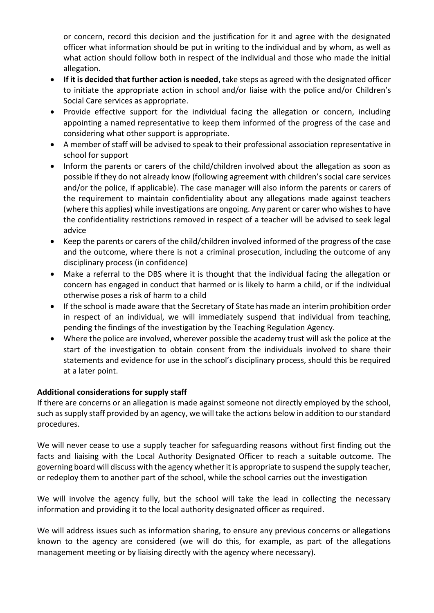or concern, record this decision and the justification for it and agree with the designated officer what information should be put in writing to the individual and by whom, as well as what action should follow both in respect of the individual and those who made the initial allegation.

- **If it is decided that further action is needed**, take steps as agreed with the designated officer to initiate the appropriate action in school and/or liaise with the police and/or Children's Social Care services as appropriate.
- Provide effective support for the individual facing the allegation or concern, including appointing a named representative to keep them informed of the progress of the case and considering what other support is appropriate.
- A member of staff will be advised to speak to their professional association representative in school for support
- Inform the parents or carers of the child/children involved about the allegation as soon as possible if they do not already know (following agreement with children's social care services and/or the police, if applicable). The case manager will also inform the parents or carers of the requirement to maintain confidentiality about any allegations made against teachers (where this applies) while investigations are ongoing. Any parent or carer who wishes to have the confidentiality restrictions removed in respect of a teacher will be advised to seek legal advice
- Keep the parents or carers of the child/children involved informed of the progress of the case and the outcome, where there is not a criminal prosecution, including the outcome of any disciplinary process (in confidence)
- Make a referral to the DBS where it is thought that the individual facing the allegation or concern has engaged in conduct that harmed or is likely to harm a child, or if the individual otherwise poses a risk of harm to a child
- If the school is made aware that the Secretary of State has made an interim prohibition order in respect of an individual, we will immediately suspend that individual from teaching, pending the findings of the investigation by the Teaching Regulation Agency.
- Where the police are involved, wherever possible the academy trust will ask the police at the start of the investigation to obtain consent from the individuals involved to share their statements and evidence for use in the school's disciplinary process, should this be required at a later point.

## **Additional considerations for supply staff**

If there are concerns or an allegation is made against someone not directly employed by the school, such as supply staff provided by an agency, we will take the actions below in addition to our standard procedures.

We will never cease to use a supply teacher for safeguarding reasons without first finding out the facts and liaising with the Local Authority Designated Officer to reach a suitable outcome. The governing board will discuss with the agency whether it is appropriate to suspend the supply teacher, or redeploy them to another part of the school, while the school carries out the investigation

We will involve the agency fully, but the school will take the lead in collecting the necessary information and providing it to the local authority designated officer as required.

We will address issues such as information sharing, to ensure any previous concerns or allegations known to the agency are considered (we will do this, for example, as part of the allegations management meeting or by liaising directly with the agency where necessary).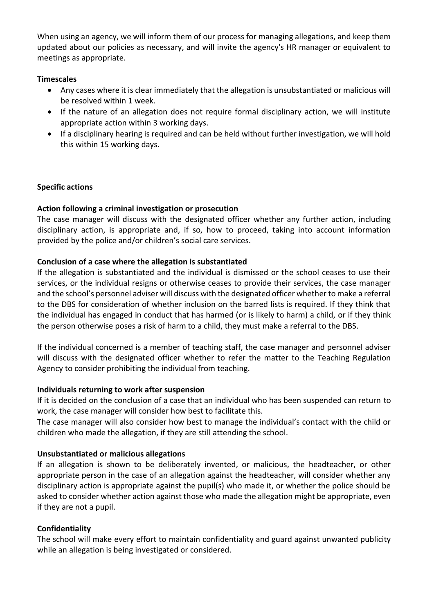When using an agency, we will inform them of our process for managing allegations, and keep them updated about our policies as necessary, and will invite the agency's HR manager or equivalent to meetings as appropriate.

#### **Timescales**

- Any cases where it is clear immediately that the allegation is unsubstantiated or malicious will be resolved within 1 week.
- If the nature of an allegation does not require formal disciplinary action, we will institute appropriate action within 3 working days.
- If a disciplinary hearing is required and can be held without further investigation, we will hold this within 15 working days.

#### **Specific actions**

#### **Action following a criminal investigation or prosecution**

The case manager will discuss with the designated officer whether any further action, including disciplinary action, is appropriate and, if so, how to proceed, taking into account information provided by the police and/or children's social care services.

#### **Conclusion of a case where the allegation is substantiated**

If the allegation is substantiated and the individual is dismissed or the school ceases to use their services, or the individual resigns or otherwise ceases to provide their services, the case manager and the school's personnel adviser will discuss with the designated officer whether to make a referral to the DBS for consideration of whether inclusion on the barred lists is required. If they think that the individual has engaged in conduct that has harmed (or is likely to harm) a child, or if they think the person otherwise poses a risk of harm to a child, they must make a referral to the DBS.

If the individual concerned is a member of teaching staff, the case manager and personnel adviser will discuss with the designated officer whether to refer the matter to the Teaching Regulation Agency to consider prohibiting the individual from teaching.

#### **Individuals returning to work after suspension**

If it is decided on the conclusion of a case that an individual who has been suspended can return to work, the case manager will consider how best to facilitate this.

The case manager will also consider how best to manage the individual's contact with the child or children who made the allegation, if they are still attending the school.

#### **Unsubstantiated or malicious allegations**

If an allegation is shown to be deliberately invented, or malicious, the headteacher, or other appropriate person in the case of an allegation against the headteacher, will consider whether any disciplinary action is appropriate against the pupil(s) who made it, or whether the police should be asked to consider whether action against those who made the allegation might be appropriate, even if they are not a pupil.

#### **Confidentiality**

The school will make every effort to maintain confidentiality and guard against unwanted publicity while an allegation is being investigated or considered.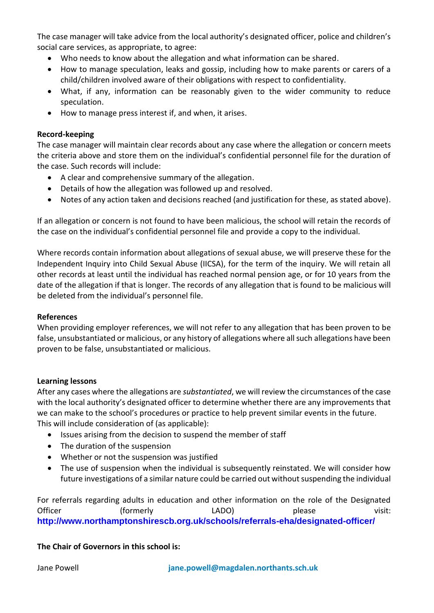The case manager will take advice from the local authority's designated officer, police and children's social care services, as appropriate, to agree:

- Who needs to know about the allegation and what information can be shared.
- How to manage speculation, leaks and gossip, including how to make parents or carers of a child/children involved aware of their obligations with respect to confidentiality.
- What, if any, information can be reasonably given to the wider community to reduce speculation.
- How to manage press interest if, and when, it arises.

#### **Record-keeping**

The case manager will maintain clear records about any case where the allegation or concern meets the criteria above and store them on the individual's confidential personnel file for the duration of the case. Such records will include:

- A clear and comprehensive summary of the allegation.
- Details of how the allegation was followed up and resolved.
- Notes of any action taken and decisions reached (and justification for these, as stated above).

If an allegation or concern is not found to have been malicious, the school will retain the records of the case on the individual's confidential personnel file and provide a copy to the individual.

Where records contain information about allegations of sexual abuse, we will preserve these for the Independent Inquiry into Child Sexual Abuse (IICSA), for the term of the inquiry. We will retain all other records at least until the individual has reached normal pension age, or for 10 years from the date of the allegation if that is longer. The records of any allegation that is found to be malicious will be deleted from the individual's personnel file.

#### **References**

When providing employer references, we will not refer to any allegation that has been proven to be false, unsubstantiated or malicious, or any history of allegations where all such allegations have been proven to be false, unsubstantiated or malicious.

#### **Learning lessons**

After any cases where the allegations are *substantiated*, we will review the circumstances of the case with the local authority's designated officer to determine whether there are any improvements that we can make to the school's procedures or practice to help prevent similar events in the future. This will include consideration of (as applicable):

- Issues arising from the decision to suspend the member of staff
- The duration of the suspension
- Whether or not the suspension was justified
- The use of suspension when the individual is subsequently reinstated. We will consider how future investigations of a similar nature could be carried out without suspending the individual

For referrals regarding adults in education and other information on the role of the Designated Officer (formerly LADO) please visit: **<http://www.northamptonshirescb.org.uk/schools/referrals-eha/designated-officer/>**

#### **The Chair of Governors in this school is:**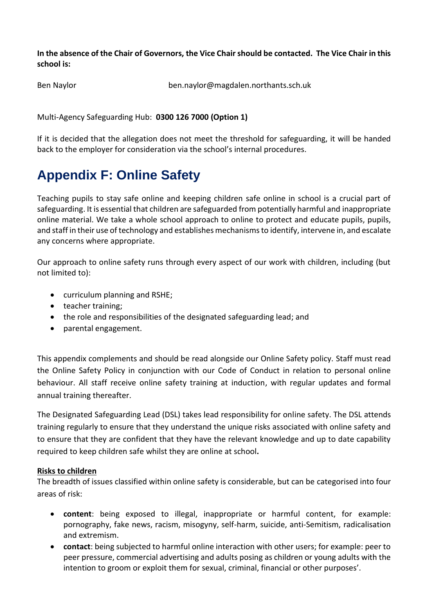**In the absence of the Chair of Governors, the Vice Chair should be contacted. The Vice Chair in this school is:**

Ben Naylor ben.naylor@magdalen.northants.sch.uk

Multi-Agency Safeguarding Hub: **0300 126 7000 (Option 1)**

If it is decided that the allegation does not meet the threshold for safeguarding, it will be handed back to the employer for consideration via the school's internal procedures.

# <span id="page-55-0"></span>**Appendix F: Online Safety**

Teaching pupils to stay safe online and keeping children safe online in school is a crucial part of safeguarding. It is essential that children are safeguarded from potentially harmful and inappropriate online material. We take a whole school approach to online to protect and educate pupils, pupils, and staff in their use of technology and establishes mechanisms to identify, intervene in, and escalate any concerns where appropriate.

Our approach to online safety runs through every aspect of our work with children, including (but not limited to):

- curriculum planning and RSHE;
- teacher training;
- the role and responsibilities of the designated safeguarding lead; and
- parental engagement.

This appendix complements and should be read alongside our Online Safety policy. Staff must read the Online Safety Policy in conjunction with our Code of Conduct in relation to personal online behaviour. All staff receive online safety training at induction, with regular updates and formal annual training thereafter.

The Designated Safeguarding Lead (DSL) takes lead responsibility for online safety. The DSL attends training regularly to ensure that they understand the unique risks associated with online safety and to ensure that they are confident that they have the relevant knowledge and up to date capability required to keep children safe whilst they are online at school**.** 

## **Risks to children**

The breadth of issues classified within online safety is considerable, but can be categorised into four areas of risk:

- **content**: being exposed to illegal, inappropriate or harmful content, for example: pornography, fake news, racism, misogyny, self-harm, suicide, anti-Semitism, radicalisation and extremism.
- **contact**: being subjected to harmful online interaction with other users; for example: peer to peer pressure, commercial advertising and adults posing as children or young adults with the intention to groom or exploit them for sexual, criminal, financial or other purposes'.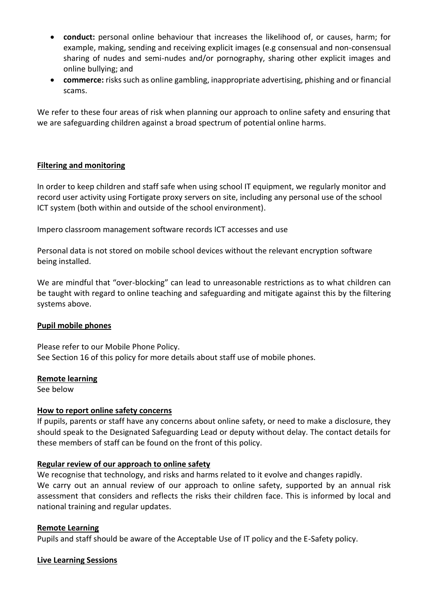- **conduct:** personal online behaviour that increases the likelihood of, or causes, harm; for example, making, sending and receiving explicit images (e.g consensual and non-consensual sharing of nudes and semi-nudes and/or pornography, sharing other explicit images and online bullying; and
- **commerce:** risks such as online gambling, inappropriate advertising, phishing and or financial scams.

We refer to these four areas of risk when planning our approach to online safety and ensuring that we are safeguarding children against a broad spectrum of potential online harms.

#### **Filtering and monitoring**

In order to keep children and staff safe when using school IT equipment, we regularly monitor and record user activity using Fortigate proxy servers on site, including any personal use of the school ICT system (both within and outside of the school environment).

Impero classroom management software records ICT accesses and use

Personal data is not stored on mobile school devices without the relevant encryption software being installed.

We are mindful that "over-blocking" can lead to unreasonable restrictions as to what children can be taught with regard to online teaching and safeguarding and mitigate against this by the filtering systems above.

#### **Pupil mobile phones**

Please refer to our Mobile Phone Policy. See Section 16 of this policy for more details about staff use of mobile phones.

#### **Remote learning**

See below

#### **How to report online safety concerns**

If pupils, parents or staff have any concerns about online safety, or need to make a disclosure, they should speak to the Designated Safeguarding Lead or deputy without delay. The contact details for these members of staff can be found on the front of this policy.

#### **Regular review of our approach to online safety**

We recognise that technology, and risks and harms related to it evolve and changes rapidly. We carry out an annual review of our approach to online safety, supported by an annual risk assessment that considers and reflects the risks their children face. This is informed by local and national training and regular updates.

#### **Remote Learning**

Pupils and staff should be aware of the Acceptable Use of IT policy and the E-Safety policy.

#### **Live Learning Sessions**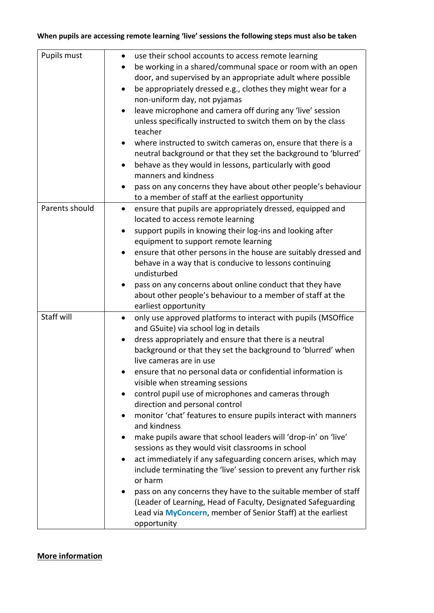### **When pupils are accessing remote learning 'live' sessions the following steps must also be taken**

| Pupils must<br>Parents should | use their school accounts to access remote learning<br>be working in a shared/communal space or room with an open<br>door, and supervised by an appropriate adult where possible<br>be appropriately dressed e.g., clothes they might wear for a<br>$\bullet$<br>non-uniform day, not pyjamas<br>leave microphone and camera off during any 'live' session<br>$\bullet$<br>unless specifically instructed to switch them on by the class<br>teacher<br>where instructed to switch cameras on, ensure that there is a<br>neutral background or that they set the background to 'blurred'<br>behave as they would in lessons, particularly with good<br>٠<br>manners and kindness<br>pass on any concerns they have about other people's behaviour<br>to a member of staff at the earliest opportunity<br>ensure that pupils are appropriately dressed, equipped and<br>located to access remote learning                                                                                                                                                         |
|-------------------------------|-----------------------------------------------------------------------------------------------------------------------------------------------------------------------------------------------------------------------------------------------------------------------------------------------------------------------------------------------------------------------------------------------------------------------------------------------------------------------------------------------------------------------------------------------------------------------------------------------------------------------------------------------------------------------------------------------------------------------------------------------------------------------------------------------------------------------------------------------------------------------------------------------------------------------------------------------------------------------------------------------------------------------------------------------------------------|
|                               | support pupils in knowing their log-ins and looking after<br>equipment to support remote learning<br>ensure that other persons in the house are suitably dressed and<br>behave in a way that is conducive to lessons continuing<br>undisturbed                                                                                                                                                                                                                                                                                                                                                                                                                                                                                                                                                                                                                                                                                                                                                                                                                  |
|                               | pass on any concerns about online conduct that they have<br>about other people's behaviour to a member of staff at the<br>earliest opportunity                                                                                                                                                                                                                                                                                                                                                                                                                                                                                                                                                                                                                                                                                                                                                                                                                                                                                                                  |
| Staff will                    | only use approved platforms to interact with pupils (MSOffice<br>and GSuite) via school log in details<br>dress appropriately and ensure that there is a neutral<br>background or that they set the background to 'blurred' when<br>live cameras are in use<br>ensure that no personal data or confidential information is<br>visible when streaming sessions<br>control pupil use of microphones and cameras through<br>٠<br>direction and personal control<br>monitor 'chat' features to ensure pupils interact with manners<br>٠<br>and kindness<br>make pupils aware that school leaders will 'drop-in' on 'live'<br>$\bullet$<br>sessions as they would visit classrooms in school<br>act immediately if any safeguarding concern arises, which may<br>٠<br>include terminating the 'live' session to prevent any further risk<br>or harm<br>pass on any concerns they have to the suitable member of staff<br>(Leader of Learning, Head of Faculty, Designated Safeguarding<br>Lead via MyConcern, member of Senior Staff) at the earliest<br>opportunity |